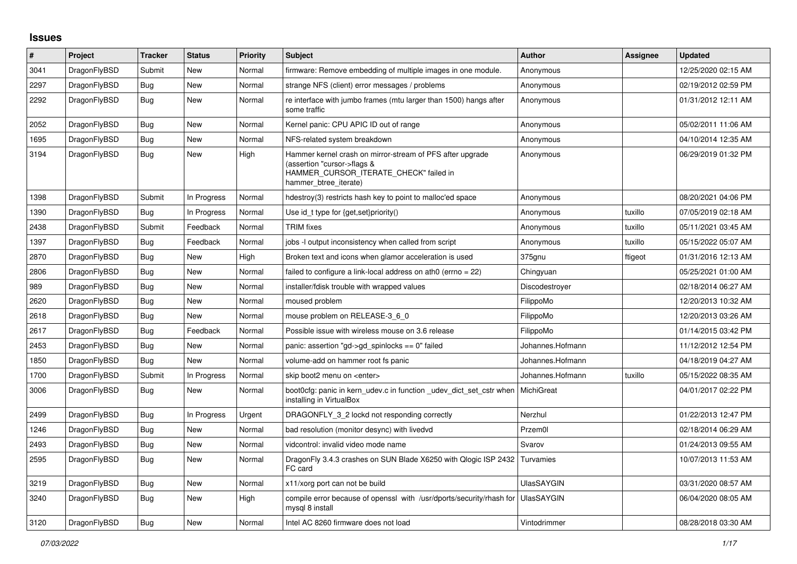## **Issues**

| #    | <b>Project</b> | <b>Tracker</b> | <b>Status</b> | <b>Priority</b> | <b>Subject</b>                                                                                                                                              | <b>Author</b>     | Assignee | <b>Updated</b>      |
|------|----------------|----------------|---------------|-----------------|-------------------------------------------------------------------------------------------------------------------------------------------------------------|-------------------|----------|---------------------|
| 3041 | DragonFlyBSD   | Submit         | New           | Normal          | firmware: Remove embedding of multiple images in one module.                                                                                                | Anonymous         |          | 12/25/2020 02:15 AM |
| 2297 | DragonFlyBSD   | Bug            | New           | Normal          | strange NFS (client) error messages / problems                                                                                                              | Anonymous         |          | 02/19/2012 02:59 PM |
| 2292 | DragonFlyBSD   | Bug            | New           | Normal          | re interface with jumbo frames (mtu larger than 1500) hangs after<br>some traffic                                                                           | Anonymous         |          | 01/31/2012 12:11 AM |
| 2052 | DragonFlyBSD   | <b>Bug</b>     | <b>New</b>    | Normal          | Kernel panic: CPU APIC ID out of range                                                                                                                      | Anonymous         |          | 05/02/2011 11:06 AM |
| 1695 | DragonFlyBSD   | Bug            | New           | Normal          | NFS-related system breakdown                                                                                                                                | Anonymous         |          | 04/10/2014 12:35 AM |
| 3194 | DragonFlyBSD   | Bug            | New           | High            | Hammer kernel crash on mirror-stream of PFS after upgrade<br>(assertion "cursor->flags &<br>HAMMER_CURSOR_ITERATE_CHECK" failed in<br>hammer btree iterate) | Anonymous         |          | 06/29/2019 01:32 PM |
| 1398 | DragonFlyBSD   | Submit         | In Progress   | Normal          | hdestroy(3) restricts hash key to point to malloc'ed space                                                                                                  | Anonymous         |          | 08/20/2021 04:06 PM |
| 1390 | DragonFlyBSD   | Bug            | In Progress   | Normal          | Use id t type for $\{get, set\}$ priority()                                                                                                                 | Anonymous         | tuxillo  | 07/05/2019 02:18 AM |
| 2438 | DragonFlyBSD   | Submit         | Feedback      | Normal          | <b>TRIM</b> fixes                                                                                                                                           | Anonymous         | tuxillo  | 05/11/2021 03:45 AM |
| 1397 | DragonFlyBSD   | Bug            | Feedback      | Normal          | jobs -I output inconsistency when called from script                                                                                                        | Anonymous         | tuxillo  | 05/15/2022 05:07 AM |
| 2870 | DragonFlyBSD   | Bug            | New           | High            | Broken text and icons when glamor acceleration is used                                                                                                      | 375gnu            | ftigeot  | 01/31/2016 12:13 AM |
| 2806 | DragonFlyBSD   | <b>Bug</b>     | <b>New</b>    | Normal          | failed to configure a link-local address on ath0 (errno = 22)                                                                                               | Chingyuan         |          | 05/25/2021 01:00 AM |
| 989  | DragonFlyBSD   | Bug            | New           | Normal          | installer/fdisk trouble with wrapped values                                                                                                                 | Discodestroyer    |          | 02/18/2014 06:27 AM |
| 2620 | DragonFlyBSD   | <b>Bug</b>     | New           | Normal          | moused problem                                                                                                                                              | FilippoMo         |          | 12/20/2013 10:32 AM |
| 2618 | DragonFlyBSD   | Bug            | New           | Normal          | mouse problem on RELEASE-3_6_0                                                                                                                              | FilippoMo         |          | 12/20/2013 03:26 AM |
| 2617 | DragonFlyBSD   | <b>Bug</b>     | Feedback      | Normal          | Possible issue with wireless mouse on 3.6 release                                                                                                           | FilippoMo         |          | 01/14/2015 03:42 PM |
| 2453 | DragonFlyBSD   | <b>Bug</b>     | <b>New</b>    | Normal          | panic: assertion "gd->gd spinlocks == $0$ " failed                                                                                                          | Johannes.Hofmann  |          | 11/12/2012 12:54 PM |
| 1850 | DragonFlyBSD   | Bug            | <b>New</b>    | Normal          | volume-add on hammer root fs panic                                                                                                                          | Johannes.Hofmann  |          | 04/18/2019 04:27 AM |
| 1700 | DragonFlyBSD   | Submit         | In Progress   | Normal          | skip boot2 menu on <enter></enter>                                                                                                                          | Johannes.Hofmann  | tuxillo  | 05/15/2022 08:35 AM |
| 3006 | DragonFlyBSD   | <b>Bug</b>     | New           | Normal          | boot0cfg: panic in kern_udev.c in function _udev_dict_set_cstr when<br>installing in VirtualBox                                                             | MichiGreat        |          | 04/01/2017 02:22 PM |
| 2499 | DragonFlyBSD   | <b>Bug</b>     | In Progress   | Urgent          | DRAGONFLY_3_2 lockd not responding correctly                                                                                                                | Nerzhul           |          | 01/22/2013 12:47 PM |
| 1246 | DragonFlyBSD   | <b>Bug</b>     | <b>New</b>    | Normal          | bad resolution (monitor desync) with livedvd                                                                                                                | Przem0l           |          | 02/18/2014 06:29 AM |
| 2493 | DragonFlyBSD   | Bug            | New           | Normal          | vidcontrol: invalid video mode name                                                                                                                         | Svarov            |          | 01/24/2013 09:55 AM |
| 2595 | DragonFlyBSD   | Bug            | New           | Normal          | Dragon Fly 3.4.3 crashes on SUN Blade X6250 with Qlogic ISP 2432<br>FC card                                                                                 | Turvamies         |          | 10/07/2013 11:53 AM |
| 3219 | DragonFlyBSD   | Bug            | <b>New</b>    | Normal          | x11/xorg port can not be build                                                                                                                              | <b>UlasSAYGIN</b> |          | 03/31/2020 08:57 AM |
| 3240 | DragonFlyBSD   | <b>Bug</b>     | New           | High            | compile error because of openssl with /usr/dports/security/rhash for<br>mysql 8 install                                                                     | <b>UlasSAYGIN</b> |          | 06/04/2020 08:05 AM |
| 3120 | DragonFlyBSD   | Bug            | New           | Normal          | Intel AC 8260 firmware does not load                                                                                                                        | Vintodrimmer      |          | 08/28/2018 03:30 AM |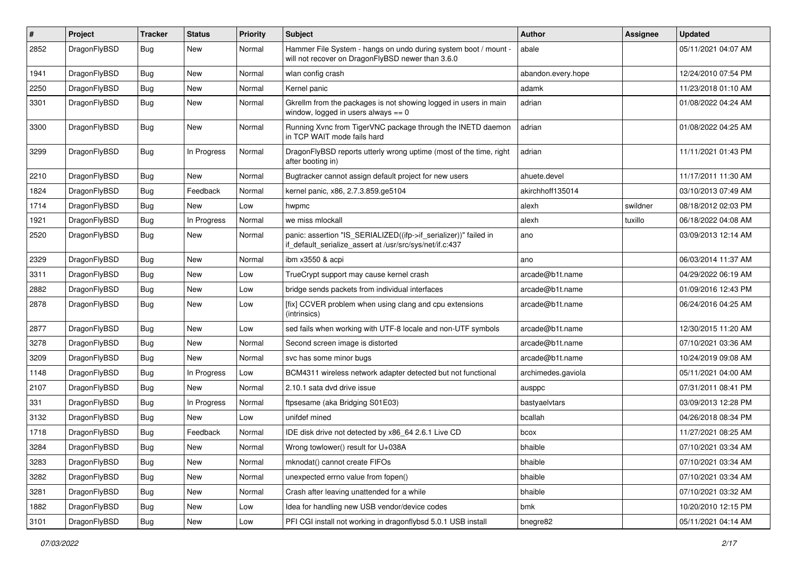| $\#$ | Project      | <b>Tracker</b> | <b>Status</b> | <b>Priority</b> | Subject                                                                                                                      | <b>Author</b>      | Assignee | <b>Updated</b>      |
|------|--------------|----------------|---------------|-----------------|------------------------------------------------------------------------------------------------------------------------------|--------------------|----------|---------------------|
| 2852 | DragonFlyBSD | Bug            | New           | Normal          | Hammer File System - hangs on undo during system boot / mount -<br>will not recover on DragonFlyBSD newer than 3.6.0         | abale              |          | 05/11/2021 04:07 AM |
| 1941 | DragonFlyBSD | Bug            | New           | Normal          | wlan config crash                                                                                                            | abandon.every.hope |          | 12/24/2010 07:54 PM |
| 2250 | DragonFlyBSD | Bug            | New           | Normal          | Kernel panic                                                                                                                 | adamk              |          | 11/23/2018 01:10 AM |
| 3301 | DragonFlyBSD | Bug            | New           | Normal          | Gkrellm from the packages is not showing logged in users in main<br>window, logged in users always $== 0$                    | adrian             |          | 01/08/2022 04:24 AM |
| 3300 | DragonFlyBSD | Bug            | New           | Normal          | Running Xvnc from TigerVNC package through the INETD daemon<br>in TCP WAIT mode fails hard                                   | adrian             |          | 01/08/2022 04:25 AM |
| 3299 | DragonFlyBSD | Bug            | In Progress   | Normal          | DragonFlyBSD reports utterly wrong uptime (most of the time, right<br>after booting in)                                      | adrian             |          | 11/11/2021 01:43 PM |
| 2210 | DragonFlyBSD | Bug            | New           | Normal          | Bugtracker cannot assign default project for new users                                                                       | ahuete.devel       |          | 11/17/2011 11:30 AM |
| 1824 | DragonFlyBSD | Bug            | Feedback      | Normal          | kernel panic, x86, 2.7.3.859.ge5104                                                                                          | akirchhoff135014   |          | 03/10/2013 07:49 AM |
| 1714 | DragonFlyBSD | Bug            | New           | Low             | hwpmc                                                                                                                        | alexh              | swildner | 08/18/2012 02:03 PM |
| 1921 | DragonFlyBSD | Bug            | In Progress   | Normal          | we miss mlockall                                                                                                             | alexh              | tuxillo  | 06/18/2022 04:08 AM |
| 2520 | DragonFlyBSD | Bug            | <b>New</b>    | Normal          | panic: assertion "IS_SERIALIZED((ifp->if_serializer))" failed in<br>if default serialize assert at /usr/src/sys/net/if.c:437 | ano                |          | 03/09/2013 12:14 AM |
| 2329 | DragonFlyBSD | Bug            | <b>New</b>    | Normal          | ibm x3550 & acpi                                                                                                             | ano                |          | 06/03/2014 11:37 AM |
| 3311 | DragonFlyBSD | Bug            | New           | Low             | TrueCrypt support may cause kernel crash                                                                                     | arcade@b1t.name    |          | 04/29/2022 06:19 AM |
| 2882 | DragonFlyBSD | Bug            | <b>New</b>    | Low             | bridge sends packets from individual interfaces                                                                              | arcade@b1t.name    |          | 01/09/2016 12:43 PM |
| 2878 | DragonFlyBSD | Bug            | New           | Low             | [fix] CCVER problem when using clang and cpu extensions<br>(intrinsics)                                                      | arcade@b1t.name    |          | 06/24/2016 04:25 AM |
| 2877 | DragonFlyBSD | Bug            | New           | Low             | sed fails when working with UTF-8 locale and non-UTF symbols                                                                 | arcade@b1t.name    |          | 12/30/2015 11:20 AM |
| 3278 | DragonFlyBSD | Bug            | New           | Normal          | Second screen image is distorted                                                                                             | arcade@b1t.name    |          | 07/10/2021 03:36 AM |
| 3209 | DragonFlyBSD | Bug            | New           | Normal          | svc has some minor bugs                                                                                                      | arcade@b1t.name    |          | 10/24/2019 09:08 AM |
| 1148 | DragonFlyBSD | Bug            | In Progress   | Low             | BCM4311 wireless network adapter detected but not functional                                                                 | archimedes.gaviola |          | 05/11/2021 04:00 AM |
| 2107 | DragonFlyBSD | Bug            | New           | Normal          | 2.10.1 sata dvd drive issue                                                                                                  | ausppc             |          | 07/31/2011 08:41 PM |
| 331  | DragonFlyBSD | <b>Bug</b>     | In Progress   | Normal          | ftpsesame (aka Bridging S01E03)                                                                                              | bastyaelvtars      |          | 03/09/2013 12:28 PM |
| 3132 | DragonFlyBSD | Bug            | New           | Low             | unifdef mined                                                                                                                | bcallah            |          | 04/26/2018 08:34 PM |
| 1718 | DragonFlyBSD | Bug            | Feedback      | Normal          | IDE disk drive not detected by x86 64 2.6.1 Live CD                                                                          | bcox               |          | 11/27/2021 08:25 AM |
| 3284 | DragonFlyBSD | Bug            | <b>New</b>    | Normal          | Wrong towlower() result for U+038A                                                                                           | bhaible            |          | 07/10/2021 03:34 AM |
| 3283 | DragonFlyBSD | <b>Bug</b>     | New           | Normal          | mknodat() cannot create FIFOs                                                                                                | bhaible            |          | 07/10/2021 03:34 AM |
| 3282 | DragonFlyBSD | <b>Bug</b>     | New           | Normal          | unexpected errno value from fopen()                                                                                          | bhaible            |          | 07/10/2021 03:34 AM |
| 3281 | DragonFlyBSD | <b>Bug</b>     | <b>New</b>    | Normal          | Crash after leaving unattended for a while                                                                                   | bhaible            |          | 07/10/2021 03:32 AM |
| 1882 | DragonFlyBSD | Bug            | <b>New</b>    | Low             | Idea for handling new USB vendor/device codes                                                                                | bmk                |          | 10/20/2010 12:15 PM |
| 3101 | DragonFlyBSD | <b>Bug</b>     | New           | Low             | PFI CGI install not working in dragonflybsd 5.0.1 USB install                                                                | bnegre82           |          | 05/11/2021 04:14 AM |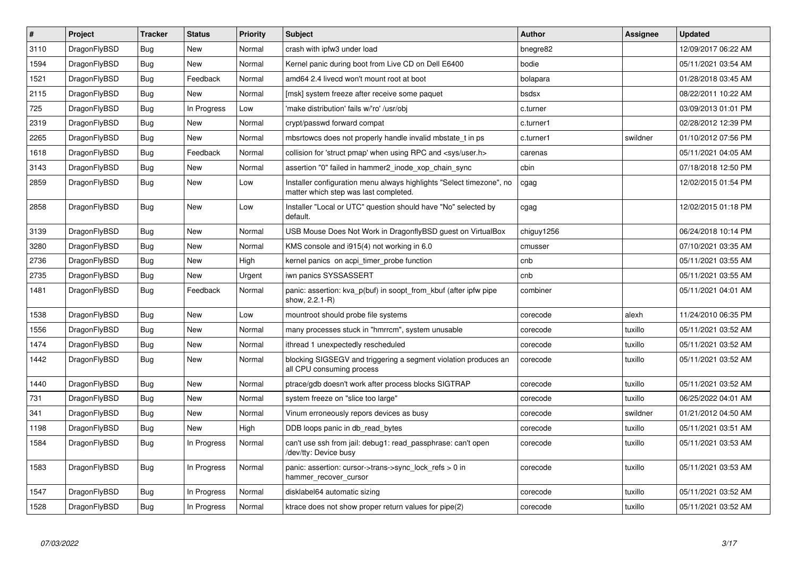| $\vert$ # | <b>Project</b> | <b>Tracker</b> | <b>Status</b> | <b>Priority</b> | <b>Subject</b>                                                                                                | Author     | Assignee | <b>Updated</b>      |
|-----------|----------------|----------------|---------------|-----------------|---------------------------------------------------------------------------------------------------------------|------------|----------|---------------------|
| 3110      | DragonFlyBSD   | Bug            | <b>New</b>    | Normal          | crash with ipfw3 under load                                                                                   | bnegre82   |          | 12/09/2017 06:22 AM |
| 1594      | DragonFlyBSD   | Bug            | <b>New</b>    | Normal          | Kernel panic during boot from Live CD on Dell E6400                                                           | bodie      |          | 05/11/2021 03:54 AM |
| 1521      | DragonFlyBSD   | <b>Bug</b>     | Feedback      | Normal          | amd64 2.4 livecd won't mount root at boot                                                                     | bolapara   |          | 01/28/2018 03:45 AM |
| 2115      | DragonFlyBSD   | Bug            | <b>New</b>    | Normal          | [msk] system freeze after receive some paquet                                                                 | bsdsx      |          | 08/22/2011 10:22 AM |
| 725       | DragonFlyBSD   | <b>Bug</b>     | In Progress   | Low             | 'make distribution' fails w/'ro' /usr/obj                                                                     | c.turner   |          | 03/09/2013 01:01 PM |
| 2319      | DragonFlyBSD   | <b>Bug</b>     | <b>New</b>    | Normal          | crypt/passwd forward compat                                                                                   | c.turner1  |          | 02/28/2012 12:39 PM |
| 2265      | DragonFlyBSD   | <b>Bug</b>     | <b>New</b>    | Normal          | mbsrtowcs does not properly handle invalid mbstate t in ps                                                    | c.turner1  | swildner | 01/10/2012 07:56 PM |
| 1618      | DragonFlyBSD   | Bug            | Feedback      | Normal          | collision for 'struct pmap' when using RPC and <sys user.h=""></sys>                                          | carenas    |          | 05/11/2021 04:05 AM |
| 3143      | DragonFlyBSD   | <b>Bug</b>     | <b>New</b>    | Normal          | assertion "0" failed in hammer2_inode_xop_chain_sync                                                          | cbin       |          | 07/18/2018 12:50 PM |
| 2859      | DragonFlyBSD   | Bug            | New           | Low             | Installer configuration menu always highlights "Select timezone", no<br>matter which step was last completed. | cgag       |          | 12/02/2015 01:54 PM |
| 2858      | DragonFlyBSD   | Bug            | <b>New</b>    | Low             | Installer "Local or UTC" question should have "No" selected by<br>default.                                    | cgag       |          | 12/02/2015 01:18 PM |
| 3139      | DragonFlyBSD   | Bug            | <b>New</b>    | Normal          | USB Mouse Does Not Work in DragonflyBSD guest on VirtualBox                                                   | chiguy1256 |          | 06/24/2018 10:14 PM |
| 3280      | DragonFlyBSD   | <b>Bug</b>     | <b>New</b>    | Normal          | KMS console and i915(4) not working in 6.0                                                                    | cmusser    |          | 07/10/2021 03:35 AM |
| 2736      | DragonFlyBSD   | Bug            | <b>New</b>    | High            | kernel panics on acpi timer probe function                                                                    | cnb        |          | 05/11/2021 03:55 AM |
| 2735      | DragonFlyBSD   | <b>Bug</b>     | <b>New</b>    | Urgent          | iwn panics SYSSASSERT                                                                                         | cnb        |          | 05/11/2021 03:55 AM |
| 1481      | DragonFlyBSD   | <b>Bug</b>     | Feedback      | Normal          | panic: assertion: kva p(buf) in soopt from kbuf (after ipfw pipe<br>show, 2.2.1-R)                            | combiner   |          | 05/11/2021 04:01 AM |
| 1538      | DragonFlyBSD   | <b>Bug</b>     | <b>New</b>    | Low             | mountroot should probe file systems                                                                           | corecode   | alexh    | 11/24/2010 06:35 PM |
| 1556      | DragonFlyBSD   | <b>Bug</b>     | New           | Normal          | many processes stuck in "hmrrcm", system unusable                                                             | corecode   | tuxillo  | 05/11/2021 03:52 AM |
| 1474      | DragonFlyBSD   | <b>Bug</b>     | <b>New</b>    | Normal          | ithread 1 unexpectedly rescheduled                                                                            | corecode   | tuxillo  | 05/11/2021 03:52 AM |
| 1442      | DragonFlyBSD   | <b>Bug</b>     | New           | Normal          | blocking SIGSEGV and triggering a segment violation produces an<br>all CPU consuming process                  | corecode   | tuxillo  | 05/11/2021 03:52 AM |
| 1440      | DragonFlyBSD   | <b>Bug</b>     | <b>New</b>    | Normal          | ptrace/gdb doesn't work after process blocks SIGTRAP                                                          | corecode   | tuxillo  | 05/11/2021 03:52 AM |
| 731       | DragonFlyBSD   | <b>Bug</b>     | <b>New</b>    | Normal          | system freeze on "slice too large"                                                                            | corecode   | tuxillo  | 06/25/2022 04:01 AM |
| 341       | DragonFlyBSD   | <b>Bug</b>     | New           | Normal          | Vinum erroneously repors devices as busy                                                                      | corecode   | swildner | 01/21/2012 04:50 AM |
| 1198      | DragonFlyBSD   | <b>Bug</b>     | New           | High            | DDB loops panic in db read bytes                                                                              | corecode   | tuxillo  | 05/11/2021 03:51 AM |
| 1584      | DragonFlyBSD   | <b>Bug</b>     | In Progress   | Normal          | can't use ssh from jail: debug1: read_passphrase: can't open<br>/dev/tty: Device busy                         | corecode   | tuxillo  | 05/11/2021 03:53 AM |
| 1583      | DragonFlyBSD   | Bug            | In Progress   | Normal          | panic: assertion: cursor->trans->sync_lock_refs > 0 in<br>hammer_recover_cursor                               | corecode   | tuxillo  | 05/11/2021 03:53 AM |
| 1547      | DragonFlyBSD   | <b>Bug</b>     | In Progress   | Normal          | disklabel64 automatic sizing                                                                                  | corecode   | tuxillo  | 05/11/2021 03:52 AM |
| 1528      | DragonFlyBSD   | Bug            | In Progress   | Normal          | ktrace does not show proper return values for pipe(2)                                                         | corecode   | tuxillo  | 05/11/2021 03:52 AM |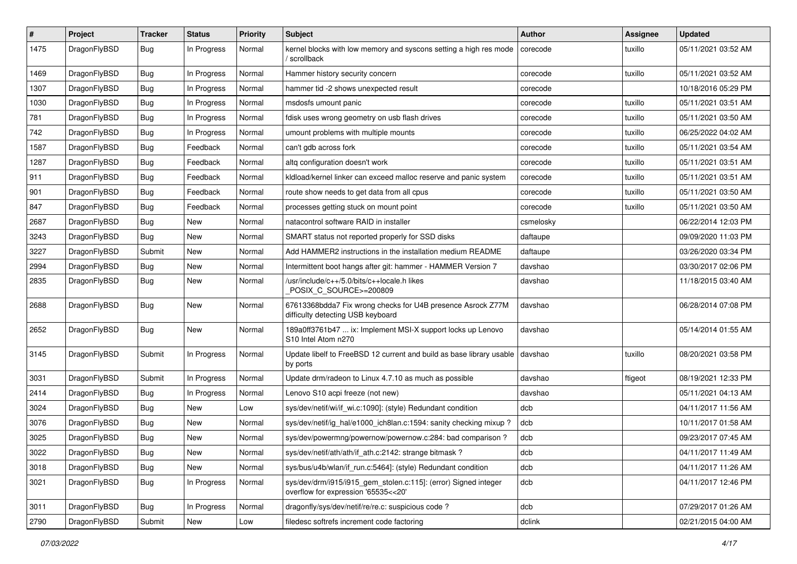| $\sharp$ | Project      | <b>Tracker</b> | <b>Status</b> | <b>Priority</b> | Subject                                                                                                    | <b>Author</b> | Assignee | <b>Updated</b>      |
|----------|--------------|----------------|---------------|-----------------|------------------------------------------------------------------------------------------------------------|---------------|----------|---------------------|
| 1475     | DragonFlyBSD | Bug            | In Progress   | Normal          | kernel blocks with low memory and syscons setting a high res mode<br>/ scrollback                          | corecode      | tuxillo  | 05/11/2021 03:52 AM |
| 1469     | DragonFlyBSD | <b>Bug</b>     | In Progress   | Normal          | Hammer history security concern                                                                            | corecode      | tuxillo  | 05/11/2021 03:52 AM |
| 1307     | DragonFlyBSD | <b>Bug</b>     | In Progress   | Normal          | hammer tid -2 shows unexpected result                                                                      | corecode      |          | 10/18/2016 05:29 PM |
| 1030     | DragonFlyBSD | Bug            | In Progress   | Normal          | msdosfs umount panic                                                                                       | corecode      | tuxillo  | 05/11/2021 03:51 AM |
| 781      | DragonFlyBSD | <b>Bug</b>     | In Progress   | Normal          | fdisk uses wrong geometry on usb flash drives                                                              | corecode      | tuxillo  | 05/11/2021 03:50 AM |
| 742      | DragonFlyBSD | <b>Bug</b>     | In Progress   | Normal          | umount problems with multiple mounts                                                                       | corecode      | tuxillo  | 06/25/2022 04:02 AM |
| 1587     | DragonFlyBSD | <b>Bug</b>     | Feedback      | Normal          | can't gdb across fork                                                                                      | corecode      | tuxillo  | 05/11/2021 03:54 AM |
| 1287     | DragonFlyBSD | <b>Bug</b>     | Feedback      | Normal          | altq configuration doesn't work                                                                            | corecode      | tuxillo  | 05/11/2021 03:51 AM |
| 911      | DragonFlyBSD | Bug            | Feedback      | Normal          | kidload/kernel linker can exceed malloc reserve and panic system                                           | corecode      | tuxillo  | 05/11/2021 03:51 AM |
| 901      | DragonFlyBSD | <b>Bug</b>     | Feedback      | Normal          | route show needs to get data from all cpus                                                                 | corecode      | tuxillo  | 05/11/2021 03:50 AM |
| 847      | DragonFlyBSD | <b>Bug</b>     | Feedback      | Normal          | processes getting stuck on mount point                                                                     | corecode      | tuxillo  | 05/11/2021 03:50 AM |
| 2687     | DragonFlyBSD | <b>Bug</b>     | New           | Normal          | natacontrol software RAID in installer                                                                     | csmelosky     |          | 06/22/2014 12:03 PM |
| 3243     | DragonFlyBSD | <b>Bug</b>     | <b>New</b>    | Normal          | SMART status not reported properly for SSD disks                                                           | daftaupe      |          | 09/09/2020 11:03 PM |
| 3227     | DragonFlyBSD | Submit         | New           | Normal          | Add HAMMER2 instructions in the installation medium README                                                 | daftaupe      |          | 03/26/2020 03:34 PM |
| 2994     | DragonFlyBSD | Bug            | New           | Normal          | Intermittent boot hangs after git: hammer - HAMMER Version 7                                               | davshao       |          | 03/30/2017 02:06 PM |
| 2835     | DragonFlyBSD | Bug            | <b>New</b>    | Normal          | /usr/include/c++/5.0/bits/c++locale.h likes<br>POSIX_C_SOURCE>=200809                                      | davshao       |          | 11/18/2015 03:40 AM |
| 2688     | DragonFlyBSD | Bug            | New           | Normal          | 67613368bdda7 Fix wrong checks for U4B presence Asrock Z77M<br>difficulty detecting USB keyboard           | davshao       |          | 06/28/2014 07:08 PM |
| 2652     | DragonFlyBSD | <b>Bug</b>     | <b>New</b>    | Normal          | 189a0ff3761b47  ix: Implement MSI-X support locks up Lenovo<br>S <sub>10</sub> Intel Atom n <sub>270</sub> | davshao       |          | 05/14/2014 01:55 AM |
| 3145     | DragonFlyBSD | Submit         | In Progress   | Normal          | Update libelf to FreeBSD 12 current and build as base library usable<br>by ports                           | davshao       | tuxillo  | 08/20/2021 03:58 PM |
| 3031     | DragonFlyBSD | Submit         | In Progress   | Normal          | Update drm/radeon to Linux 4.7.10 as much as possible                                                      | davshao       | ftigeot  | 08/19/2021 12:33 PM |
| 2414     | DragonFlyBSD | Bug            | In Progress   | Normal          | Lenovo S10 acpi freeze (not new)                                                                           | davshao       |          | 05/11/2021 04:13 AM |
| 3024     | DragonFlyBSD | Bug            | New           | Low             | sys/dev/netif/wi/if_wi.c:1090]: (style) Redundant condition                                                | dcb           |          | 04/11/2017 11:56 AM |
| 3076     | DragonFlyBSD | <b>Bug</b>     | New           | Normal          | sys/dev/netif/ig hal/e1000 ich8lan.c:1594: sanity checking mixup?                                          | dcb           |          | 10/11/2017 01:58 AM |
| 3025     | DragonFlyBSD | <b>Bug</b>     | New           | Normal          | sys/dev/powermng/powernow/powernow.c:284: bad comparison ?                                                 | dcb           |          | 09/23/2017 07:45 AM |
| 3022     | DragonFlyBSD | <b>Bug</b>     | New           | Normal          | sys/dev/netif/ath/ath/if_ath.c:2142: strange bitmask?                                                      | dcb           |          | 04/11/2017 11:49 AM |
| 3018     | DragonFlyBSD | <b>Bug</b>     | New           | Normal          | sys/bus/u4b/wlan/if_run.c:5464]: (style) Redundant condition                                               | dcb           |          | 04/11/2017 11:26 AM |
| 3021     | DragonFlyBSD | <b>Bug</b>     | In Progress   | Normal          | sys/dev/drm/i915/i915_gem_stolen.c:115]: (error) Signed integer<br>overflow for expression '65535<<20'     | dcb           |          | 04/11/2017 12:46 PM |
| 3011     | DragonFlyBSD | <b>Bug</b>     | In Progress   | Normal          | dragonfly/sys/dev/netif/re/re.c: suspicious code?                                                          | dcb           |          | 07/29/2017 01:26 AM |
| 2790     | DragonFlyBSD | Submit         | New           | Low             | filedesc softrefs increment code factoring                                                                 | dclink        |          | 02/21/2015 04:00 AM |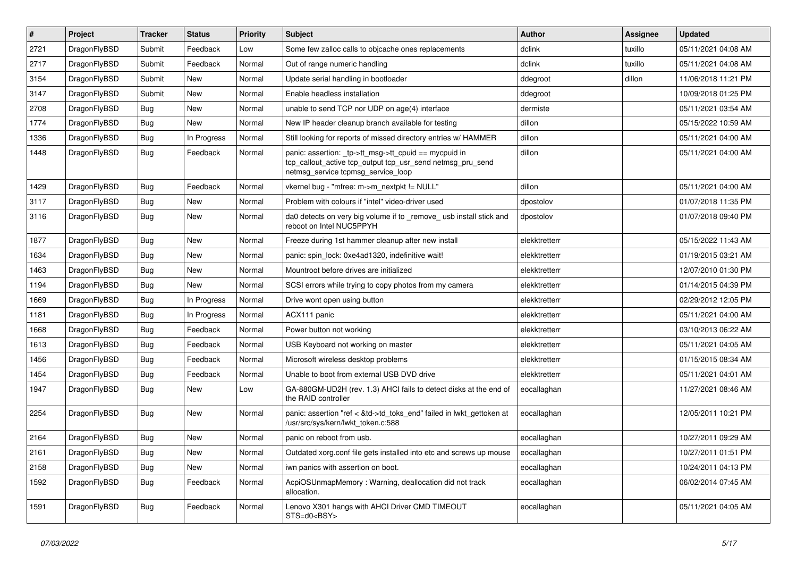| $\vert$ # | Project      | <b>Tracker</b> | <b>Status</b> | <b>Priority</b> | <b>Subject</b>                                                                                                                                            | <b>Author</b> | <b>Assignee</b> | <b>Updated</b>      |
|-----------|--------------|----------------|---------------|-----------------|-----------------------------------------------------------------------------------------------------------------------------------------------------------|---------------|-----------------|---------------------|
| 2721      | DragonFlyBSD | Submit         | Feedback      | Low             | Some few zalloc calls to objcache ones replacements                                                                                                       | dclink        | tuxillo         | 05/11/2021 04:08 AM |
| 2717      | DragonFlyBSD | Submit         | Feedback      | Normal          | Out of range numeric handling                                                                                                                             | dclink        | tuxillo         | 05/11/2021 04:08 AM |
| 3154      | DragonFlyBSD | Submit         | <b>New</b>    | Normal          | Update serial handling in bootloader                                                                                                                      | ddegroot      | dillon          | 11/06/2018 11:21 PM |
| 3147      | DragonFlyBSD | Submit         | <b>New</b>    | Normal          | Enable headless installation                                                                                                                              | ddegroot      |                 | 10/09/2018 01:25 PM |
| 2708      | DragonFlyBSD | Bug            | <b>New</b>    | Normal          | unable to send TCP nor UDP on age(4) interface                                                                                                            | dermiste      |                 | 05/11/2021 03:54 AM |
| 1774      | DragonFlyBSD | <b>Bug</b>     | New           | Normal          | New IP header cleanup branch available for testing                                                                                                        | dillon        |                 | 05/15/2022 10:59 AM |
| 1336      | DragonFlyBSD | Bug            | In Progress   | Normal          | Still looking for reports of missed directory entries w/ HAMMER                                                                                           | dillon        |                 | 05/11/2021 04:00 AM |
| 1448      | DragonFlyBSD | Bug            | Feedback      | Normal          | panic: assertion: _tp->tt_msg->tt_cpuid == mycpuid in<br>tcp_callout_active tcp_output tcp_usr_send netmsg_pru_send<br>netmsg_service tcpmsg_service_loop | dillon        |                 | 05/11/2021 04:00 AM |
| 1429      | DragonFlyBSD | Bug            | Feedback      | Normal          | vkernel bug - "mfree: m->m_nextpkt != NULL"                                                                                                               | dillon        |                 | 05/11/2021 04:00 AM |
| 3117      | DragonFlyBSD | <b>Bug</b>     | <b>New</b>    | Normal          | Problem with colours if "intel" video-driver used                                                                                                         | dpostolov     |                 | 01/07/2018 11:35 PM |
| 3116      | DragonFlyBSD | Bug            | <b>New</b>    | Normal          | da0 detects on very big volume if to _remove_usb install stick and<br>reboot on Intel NUC5PPYH                                                            | dpostolov     |                 | 01/07/2018 09:40 PM |
| 1877      | DragonFlyBSD | Bug            | <b>New</b>    | Normal          | Freeze during 1st hammer cleanup after new install                                                                                                        | elekktretterr |                 | 05/15/2022 11:43 AM |
| 1634      | DragonFlyBSD | <b>Bug</b>     | <b>New</b>    | Normal          | panic: spin lock: 0xe4ad1320, indefinitive wait!                                                                                                          | elekktretterr |                 | 01/19/2015 03:21 AM |
| 1463      | DragonFlyBSD | <b>Bug</b>     | New           | Normal          | Mountroot before drives are initialized                                                                                                                   | elekktretterr |                 | 12/07/2010 01:30 PM |
| 1194      | DragonFlyBSD | Bug            | <b>New</b>    | Normal          | SCSI errors while trying to copy photos from my camera                                                                                                    | elekktretterr |                 | 01/14/2015 04:39 PM |
| 1669      | DragonFlyBSD | <b>Bug</b>     | In Progress   | Normal          | Drive wont open using button                                                                                                                              | elekktretterr |                 | 02/29/2012 12:05 PM |
| 1181      | DragonFlyBSD | <b>Bug</b>     | In Progress   | Normal          | ACX111 panic                                                                                                                                              | elekktretterr |                 | 05/11/2021 04:00 AM |
| 1668      | DragonFlyBSD | <b>Bug</b>     | Feedback      | Normal          | Power button not working                                                                                                                                  | elekktretterr |                 | 03/10/2013 06:22 AM |
| 1613      | DragonFlyBSD | <b>Bug</b>     | Feedback      | Normal          | USB Keyboard not working on master                                                                                                                        | elekktretterr |                 | 05/11/2021 04:05 AM |
| 1456      | DragonFlyBSD | <b>Bug</b>     | Feedback      | Normal          | Microsoft wireless desktop problems                                                                                                                       | elekktretterr |                 | 01/15/2015 08:34 AM |
| 1454      | DragonFlyBSD | <b>Bug</b>     | Feedback      | Normal          | Unable to boot from external USB DVD drive                                                                                                                | elekktretterr |                 | 05/11/2021 04:01 AM |
| 1947      | DragonFlyBSD | <b>Bug</b>     | New           | Low             | GA-880GM-UD2H (rev. 1.3) AHCI fails to detect disks at the end of<br>the RAID controller                                                                  | eocallaghan   |                 | 11/27/2021 08:46 AM |
| 2254      | DragonFlyBSD | Bug            | <b>New</b>    | Normal          | panic: assertion "ref < &td->td_toks_end" failed in lwkt_gettoken at<br>/usr/src/sys/kern/lwkt_token.c:588                                                | eocallaghan   |                 | 12/05/2011 10:21 PM |
| 2164      | DragonFlyBSD | <b>Bug</b>     | <b>New</b>    | Normal          | panic on reboot from usb.                                                                                                                                 | eocallaghan   |                 | 10/27/2011 09:29 AM |
| 2161      | DragonFlyBSD | Bug            | New           | Normal          | Outdated xorg.conf file gets installed into etc and screws up mouse                                                                                       | eocallaghan   |                 | 10/27/2011 01:51 PM |
| 2158      | DragonFlyBSD | <b>Bug</b>     | New           | Normal          | iwn panics with assertion on boot.                                                                                                                        | eocallaghan   |                 | 10/24/2011 04:13 PM |
| 1592      | DragonFlyBSD | <b>Bug</b>     | Feedback      | Normal          | AcpiOSUnmapMemory: Warning, deallocation did not track<br>allocation.                                                                                     | eocallaghan   |                 | 06/02/2014 07:45 AM |
| 1591      | DragonFlyBSD | <b>Bug</b>     | Feedback      | Normal          | Lenovo X301 hangs with AHCI Driver CMD TIMEOUT<br>STS=d0 <bsy></bsy>                                                                                      | eocallaghan   |                 | 05/11/2021 04:05 AM |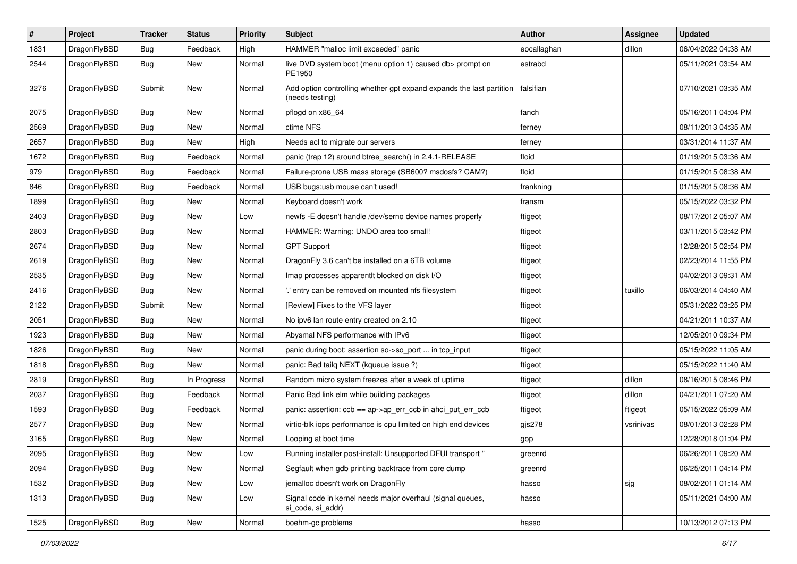| $\pmb{\#}$ | Project      | <b>Tracker</b> | <b>Status</b> | <b>Priority</b> | Subject                                                                                 | <b>Author</b> | <b>Assignee</b> | <b>Updated</b>      |
|------------|--------------|----------------|---------------|-----------------|-----------------------------------------------------------------------------------------|---------------|-----------------|---------------------|
| 1831       | DragonFlyBSD | Bug            | Feedback      | High            | HAMMER "malloc limit exceeded" panic                                                    | eocallaghan   | dillon          | 06/04/2022 04:38 AM |
| 2544       | DragonFlyBSD | Bug            | New           | Normal          | live DVD system boot (menu option 1) caused db> prompt on<br>PE1950                     | estrabd       |                 | 05/11/2021 03:54 AM |
| 3276       | DragonFlyBSD | Submit         | New           | Normal          | Add option controlling whether gpt expand expands the last partition<br>(needs testing) | falsifian     |                 | 07/10/2021 03:35 AM |
| 2075       | DragonFlyBSD | <b>Bug</b>     | New           | Normal          | pflogd on x86_64                                                                        | fanch         |                 | 05/16/2011 04:04 PM |
| 2569       | DragonFlyBSD | Bug            | <b>New</b>    | Normal          | ctime NFS                                                                               | ferney        |                 | 08/11/2013 04:35 AM |
| 2657       | DragonFlyBSD | Bug            | New           | High            | Needs acl to migrate our servers                                                        | ferney        |                 | 03/31/2014 11:37 AM |
| 1672       | DragonFlyBSD | Bug            | Feedback      | Normal          | panic (trap 12) around btree_search() in 2.4.1-RELEASE                                  | floid         |                 | 01/19/2015 03:36 AM |
| 979        | DragonFlyBSD | Bug            | Feedback      | Normal          | Failure-prone USB mass storage (SB600? msdosfs? CAM?)                                   | floid         |                 | 01/15/2015 08:38 AM |
| 846        | DragonFlyBSD | <b>Bug</b>     | Feedback      | Normal          | USB bugs:usb mouse can't used!                                                          | frankning     |                 | 01/15/2015 08:36 AM |
| 1899       | DragonFlyBSD | Bug            | <b>New</b>    | Normal          | Keyboard doesn't work                                                                   | fransm        |                 | 05/15/2022 03:32 PM |
| 2403       | DragonFlyBSD | <b>Bug</b>     | New           | Low             | newfs -E doesn't handle /dev/serno device names properly                                | ftigeot       |                 | 08/17/2012 05:07 AM |
| 2803       | DragonFlyBSD | <b>Bug</b>     | New           | Normal          | HAMMER: Warning: UNDO area too small!                                                   | ftigeot       |                 | 03/11/2015 03:42 PM |
| 2674       | DragonFlyBSD | Bug            | <b>New</b>    | Normal          | <b>GPT Support</b>                                                                      | ftigeot       |                 | 12/28/2015 02:54 PM |
| 2619       | DragonFlyBSD | Bug            | New           | Normal          | DragonFly 3.6 can't be installed on a 6TB volume                                        | ftigeot       |                 | 02/23/2014 11:55 PM |
| 2535       | DragonFlyBSD | <b>Bug</b>     | New           | Normal          | Imap processes apparentlt blocked on disk I/O                                           | ftigeot       |                 | 04/02/2013 09:31 AM |
| 2416       | DragonFlyBSD | Bug            | <b>New</b>    | Normal          | ".' entry can be removed on mounted nfs filesystem                                      | ftigeot       | tuxillo         | 06/03/2014 04:40 AM |
| 2122       | DragonFlyBSD | Submit         | New           | Normal          | [Review] Fixes to the VFS layer                                                         | ftigeot       |                 | 05/31/2022 03:25 PM |
| 2051       | DragonFlyBSD | Bug            | <b>New</b>    | Normal          | No ipv6 lan route entry created on 2.10                                                 | ftigeot       |                 | 04/21/2011 10:37 AM |
| 1923       | DragonFlyBSD | Bug            | New           | Normal          | Abysmal NFS performance with IPv6                                                       | ftigeot       |                 | 12/05/2010 09:34 PM |
| 1826       | DragonFlyBSD | <b>Bug</b>     | New           | Normal          | panic during boot: assertion so->so_port  in tcp_input                                  | ftigeot       |                 | 05/15/2022 11:05 AM |
| 1818       | DragonFlyBSD | Bug            | New           | Normal          | panic: Bad tailq NEXT (kqueue issue ?)                                                  | ftigeot       |                 | 05/15/2022 11:40 AM |
| 2819       | DragonFlyBSD | <b>Bug</b>     | In Progress   | Normal          | Random micro system freezes after a week of uptime                                      | ftigeot       | dillon          | 08/16/2015 08:46 PM |
| 2037       | DragonFlyBSD | Bug            | Feedback      | Normal          | Panic Bad link elm while building packages                                              | ftigeot       | dillon          | 04/21/2011 07:20 AM |
| 1593       | DragonFlyBSD | Bug            | Feedback      | Normal          | panic: assertion: ccb == ap->ap_err_ccb in ahci_put_err_ccb                             | ftigeot       | ftigeot         | 05/15/2022 05:09 AM |
| 2577       | DragonFlyBSD | Bug            | <b>New</b>    | Normal          | virtio-blk iops performance is cpu limited on high end devices                          | gjs278        | vsrinivas       | 08/01/2013 02:28 PM |
| 3165       | DragonFlyBSD | Bug            | <b>New</b>    | Normal          | Looping at boot time                                                                    | gop           |                 | 12/28/2018 01:04 PM |
| 2095       | DragonFlyBSD | Bug            | New           | Low             | Running installer post-install: Unsupported DFUI transport "                            | greenrd       |                 | 06/26/2011 09:20 AM |
| 2094       | DragonFlyBSD | <b>Bug</b>     | New           | Normal          | Segfault when gdb printing backtrace from core dump                                     | greenrd       |                 | 06/25/2011 04:14 PM |
| 1532       | DragonFlyBSD | Bug            | New           | Low             | jemalloc doesn't work on DragonFly                                                      | hasso         | sjg             | 08/02/2011 01:14 AM |
| 1313       | DragonFlyBSD | Bug            | New           | Low             | Signal code in kernel needs major overhaul (signal queues,<br>si_code, si_addr)         | hasso         |                 | 05/11/2021 04:00 AM |
| 1525       | DragonFlyBSD | <b>Bug</b>     | New           | Normal          | boehm-gc problems                                                                       | hasso         |                 | 10/13/2012 07:13 PM |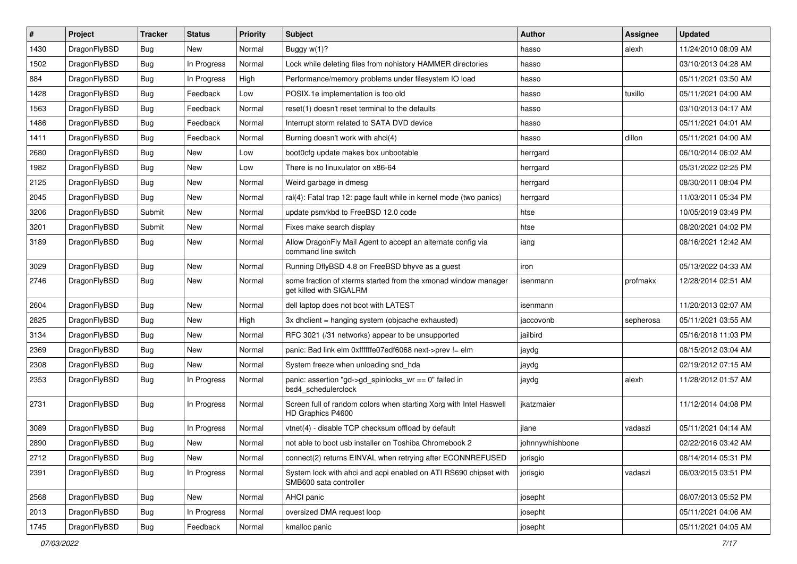| #    | Project      | <b>Tracker</b> | <b>Status</b> | <b>Priority</b> | Subject                                                                                    | Author          | <b>Assignee</b> | <b>Updated</b>      |
|------|--------------|----------------|---------------|-----------------|--------------------------------------------------------------------------------------------|-----------------|-----------------|---------------------|
| 1430 | DragonFlyBSD | Bug            | New           | Normal          | Buggy w(1)?                                                                                | hasso           | alexh           | 11/24/2010 08:09 AM |
| 1502 | DragonFlyBSD | Bug            | In Progress   | Normal          | Lock while deleting files from nohistory HAMMER directories                                | hasso           |                 | 03/10/2013 04:28 AM |
| 884  | DragonFlyBSD | <b>Bug</b>     | In Progress   | High            | Performance/memory problems under filesystem IO load                                       | hasso           |                 | 05/11/2021 03:50 AM |
| 1428 | DragonFlyBSD | <b>Bug</b>     | Feedback      | Low             | POSIX.1e implementation is too old                                                         | hasso           | tuxillo         | 05/11/2021 04:00 AM |
| 1563 | DragonFlyBSD | Bug            | Feedback      | Normal          | reset(1) doesn't reset terminal to the defaults                                            | hasso           |                 | 03/10/2013 04:17 AM |
| 1486 | DragonFlyBSD | <b>Bug</b>     | Feedback      | Normal          | Interrupt storm related to SATA DVD device                                                 | hasso           |                 | 05/11/2021 04:01 AM |
| 1411 | DragonFlyBSD | Bug            | Feedback      | Normal          | Burning doesn't work with ahci(4)                                                          | hasso           | dillon          | 05/11/2021 04:00 AM |
| 2680 | DragonFlyBSD | <b>Bug</b>     | New           | Low             | boot0cfg update makes box unbootable                                                       | herrgard        |                 | 06/10/2014 06:02 AM |
| 1982 | DragonFlyBSD | <b>Bug</b>     | New           | Low             | There is no linuxulator on x86-64                                                          | herrgard        |                 | 05/31/2022 02:25 PM |
| 2125 | DragonFlyBSD | Bug            | <b>New</b>    | Normal          | Weird garbage in dmesg                                                                     | herrgard        |                 | 08/30/2011 08:04 PM |
| 2045 | DragonFlyBSD | <b>Bug</b>     | New           | Normal          | ral(4): Fatal trap 12: page fault while in kernel mode (two panics)                        | herrgard        |                 | 11/03/2011 05:34 PM |
| 3206 | DragonFlyBSD | Submit         | <b>New</b>    | Normal          | update psm/kbd to FreeBSD 12.0 code                                                        | htse            |                 | 10/05/2019 03:49 PM |
| 3201 | DragonFlyBSD | Submit         | New           | Normal          | Fixes make search display                                                                  | htse            |                 | 08/20/2021 04:02 PM |
| 3189 | DragonFlyBSD | <b>Bug</b>     | New           | Normal          | Allow DragonFly Mail Agent to accept an alternate config via<br>command line switch        | iang            |                 | 08/16/2021 12:42 AM |
| 3029 | DragonFlyBSD | Bug            | <b>New</b>    | Normal          | Running DflyBSD 4.8 on FreeBSD bhyve as a guest                                            | iron            |                 | 05/13/2022 04:33 AM |
| 2746 | DragonFlyBSD | <b>Bug</b>     | New           | Normal          | some fraction of xterms started from the xmonad window manager<br>get killed with SIGALRM  | isenmann        | profmakx        | 12/28/2014 02:51 AM |
| 2604 | DragonFlyBSD | Bug            | New           | Normal          | dell laptop does not boot with LATEST                                                      | isenmann        |                 | 11/20/2013 02:07 AM |
| 2825 | DragonFlyBSD | <b>Bug</b>     | New           | High            | 3x dhclient = hanging system (objcache exhausted)                                          | jaccovonb       | sepherosa       | 05/11/2021 03:55 AM |
| 3134 | DragonFlyBSD | <b>Bug</b>     | <b>New</b>    | Normal          | RFC 3021 (/31 networks) appear to be unsupported                                           | jailbird        |                 | 05/16/2018 11:03 PM |
| 2369 | DragonFlyBSD | <b>Bug</b>     | <b>New</b>    | Normal          | panic: Bad link elm 0xffffffe07edf6068 next->prev != elm                                   | jaydg           |                 | 08/15/2012 03:04 AM |
| 2308 | DragonFlyBSD | Bug            | New           | Normal          | System freeze when unloading snd_hda                                                       | jaydg           |                 | 02/19/2012 07:15 AM |
| 2353 | DragonFlyBSD | <b>Bug</b>     | In Progress   | Normal          | panic: assertion "gd->gd_spinlocks_wr == 0" failed in<br>bsd4_schedulerclock               | jaydg           | alexh           | 11/28/2012 01:57 AM |
| 2731 | DragonFlyBSD | <b>Bug</b>     | In Progress   | Normal          | Screen full of random colors when starting Xorg with Intel Haswell<br>HD Graphics P4600    | ikatzmaier      |                 | 11/12/2014 04:08 PM |
| 3089 | DragonFlyBSD | Bug            | In Progress   | Normal          | vtnet(4) - disable TCP checksum offload by default                                         | jlane           | vadaszi         | 05/11/2021 04:14 AM |
| 2890 | DragonFlyBSD | Bug            | New           | Normal          | not able to boot usb installer on Toshiba Chromebook 2                                     | johnnywhishbone |                 | 02/22/2016 03:42 AM |
| 2712 | DragonFlyBSD | <b>Bug</b>     | New           | Normal          | connect(2) returns EINVAL when retrying after ECONNREFUSED                                 | jorisgio        |                 | 08/14/2014 05:31 PM |
| 2391 | DragonFlyBSD | <b>Bug</b>     | In Progress   | Normal          | System lock with ahci and acpi enabled on ATI RS690 chipset with<br>SMB600 sata controller | jorisgio        | vadaszi         | 06/03/2015 03:51 PM |
| 2568 | DragonFlyBSD | <b>Bug</b>     | New           | Normal          | AHCI panic                                                                                 | josepht         |                 | 06/07/2013 05:52 PM |
| 2013 | DragonFlyBSD | <b>Bug</b>     | In Progress   | Normal          | oversized DMA request loop                                                                 | josepht         |                 | 05/11/2021 04:06 AM |
| 1745 | DragonFlyBSD | <b>Bug</b>     | Feedback      | Normal          | kmalloc panic                                                                              | josepht         |                 | 05/11/2021 04:05 AM |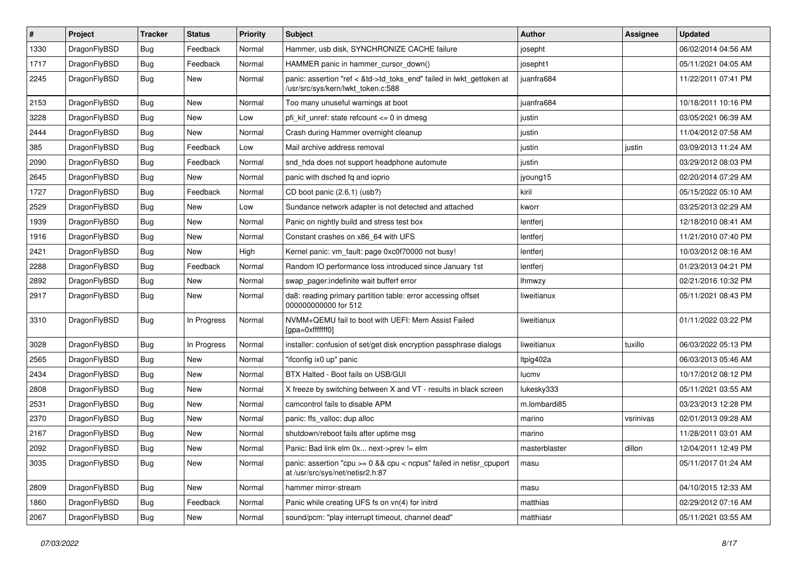| $\vert$ # | Project      | <b>Tracker</b> | <b>Status</b> | <b>Priority</b> | Subject                                                                                                    | Author        | Assignee  | <b>Updated</b>      |
|-----------|--------------|----------------|---------------|-----------------|------------------------------------------------------------------------------------------------------------|---------------|-----------|---------------------|
| 1330      | DragonFlyBSD | Bug            | Feedback      | Normal          | Hammer, usb disk, SYNCHRONIZE CACHE failure                                                                | josepht       |           | 06/02/2014 04:56 AM |
| 1717      | DragonFlyBSD | <b>Bug</b>     | Feedback      | Normal          | HAMMER panic in hammer_cursor_down()                                                                       | josepht1      |           | 05/11/2021 04:05 AM |
| 2245      | DragonFlyBSD | <b>Bug</b>     | New           | Normal          | panic: assertion "ref < &td->td_toks_end" failed in lwkt_gettoken at<br>/usr/src/sys/kern/lwkt_token.c:588 | juanfra684    |           | 11/22/2011 07:41 PM |
| 2153      | DragonFlyBSD | <b>Bug</b>     | <b>New</b>    | Normal          | Too many unuseful warnings at boot                                                                         | juanfra684    |           | 10/18/2011 10:16 PM |
| 3228      | DragonFlyBSD | <b>Bug</b>     | New           | Low             | pfi kif unref: state refcount $\leq$ 0 in dmesg                                                            | justin        |           | 03/05/2021 06:39 AM |
| 2444      | DragonFlyBSD | Bug            | <b>New</b>    | Normal          | Crash during Hammer overnight cleanup                                                                      | justin        |           | 11/04/2012 07:58 AM |
| 385       | DragonFlyBSD | <b>Bug</b>     | Feedback      | Low             | Mail archive address removal                                                                               | justin        | justin    | 03/09/2013 11:24 AM |
| 2090      | DragonFlyBSD | <b>Bug</b>     | Feedback      | Normal          | snd_hda does not support headphone automute                                                                | justin        |           | 03/29/2012 08:03 PM |
| 2645      | DragonFlyBSD | <b>Bug</b>     | New           | Normal          | panic with dsched fq and ioprio                                                                            | jyoung15      |           | 02/20/2014 07:29 AM |
| 1727      | DragonFlyBSD | Bug            | Feedback      | Normal          | CD boot panic (2.6.1) (usb?)                                                                               | kiril         |           | 05/15/2022 05:10 AM |
| 2529      | DragonFlyBSD | Bug            | <b>New</b>    | Low             | Sundance network adapter is not detected and attached                                                      | kworr         |           | 03/25/2013 02:29 AM |
| 1939      | DragonFlyBSD | <b>Bug</b>     | New           | Normal          | Panic on nightly build and stress test box                                                                 | lentferj      |           | 12/18/2010 08:41 AM |
| 1916      | DragonFlyBSD | Bug            | New           | Normal          | Constant crashes on x86_64 with UFS                                                                        | lentferj      |           | 11/21/2010 07:40 PM |
| 2421      | DragonFlyBSD | <b>Bug</b>     | New           | High            | Kernel panic: vm_fault: page 0xc0f70000 not busy!                                                          | lentferj      |           | 10/03/2012 08:16 AM |
| 2288      | DragonFlyBSD | <b>Bug</b>     | Feedback      | Normal          | Random IO performance loss introduced since January 1st                                                    | lentferj      |           | 01/23/2013 04:21 PM |
| 2892      | DragonFlyBSD | Bug            | New           | Normal          | swap_pager:indefinite wait bufferf error                                                                   | <b>Ihmwzy</b> |           | 02/21/2016 10:32 PM |
| 2917      | DragonFlyBSD | Bug            | New           | Normal          | da8: reading primary partition table: error accessing offset<br>000000000000 for 512                       | liweitianux   |           | 05/11/2021 08:43 PM |
| 3310      | DragonFlyBSD | Bug            | In Progress   | Normal          | NVMM+QEMU fail to boot with UEFI: Mem Assist Failed<br>[gpa=0xfffffff0]                                    | liweitianux   |           | 01/11/2022 03:22 PM |
| 3028      | DragonFlyBSD | <b>Bug</b>     | In Progress   | Normal          | installer: confusion of set/get disk encryption passphrase dialogs                                         | liweitianux   | tuxillo   | 06/03/2022 05:13 PM |
| 2565      | DragonFlyBSD | <b>Bug</b>     | <b>New</b>    | Normal          | "ifconfig ix0 up" panic                                                                                    | Itpig402a     |           | 06/03/2013 05:46 AM |
| 2434      | DragonFlyBSD | <b>Bug</b>     | New           | Normal          | BTX Halted - Boot fails on USB/GUI                                                                         | lucmv         |           | 10/17/2012 08:12 PM |
| 2808      | DragonFlyBSD | Bug            | <b>New</b>    | Normal          | X freeze by switching between X and VT - results in black screen                                           | lukesky333    |           | 05/11/2021 03:55 AM |
| 2531      | DragonFlyBSD | Bug            | <b>New</b>    | Normal          | camcontrol fails to disable APM                                                                            | m.lombardi85  |           | 03/23/2013 12:28 PM |
| 2370      | DragonFlyBSD | <b>Bug</b>     | New           | Normal          | panic: ffs_valloc: dup alloc                                                                               | marino        | vsrinivas | 02/01/2013 09:28 AM |
| 2167      | DragonFlyBSD | Bug            | <b>New</b>    | Normal          | shutdown/reboot fails after uptime msg                                                                     | marino        |           | 11/28/2011 03:01 AM |
| 2092      | DragonFlyBSD | Bug            | New           | Normal          | Panic: Bad link elm $0x$ next->prev $!=$ elm                                                               | masterblaster | dillon    | 12/04/2011 12:49 PM |
| 3035      | DragonFlyBSD | Bug            | New           | Normal          | panic: assertion "cpu >= 0 && cpu < ncpus" failed in netisr_cpuport<br>at /usr/src/sys/net/netisr2.h:87    | masu          |           | 05/11/2017 01:24 AM |
| 2809      | DragonFlyBSD | <b>Bug</b>     | New           | Normal          | hammer mirror-stream                                                                                       | masu          |           | 04/10/2015 12:33 AM |
| 1860      | DragonFlyBSD | <b>Bug</b>     | Feedback      | Normal          | Panic while creating UFS fs on vn(4) for initrd                                                            | matthias      |           | 02/29/2012 07:16 AM |
| 2067      | DragonFlyBSD | <b>Bug</b>     | New           | Normal          | sound/pcm: "play interrupt timeout, channel dead"                                                          | matthiasr     |           | 05/11/2021 03:55 AM |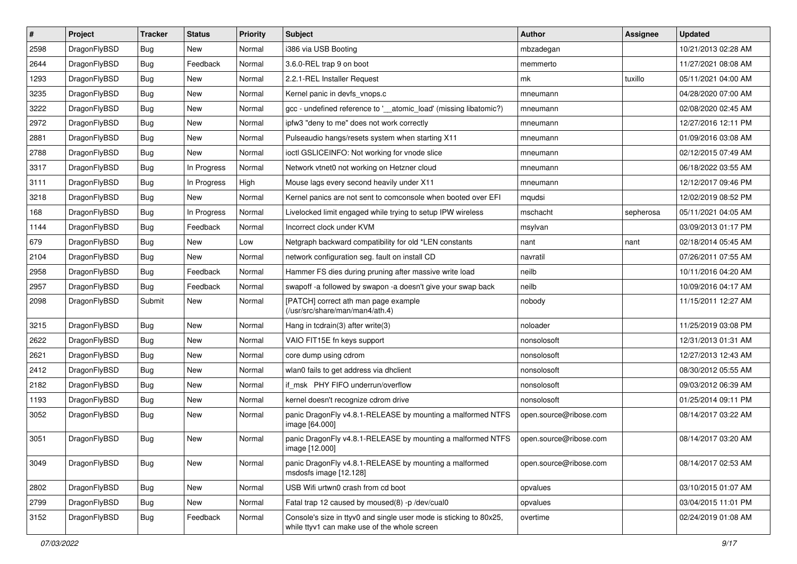| $\pmb{\#}$ | Project      | <b>Tracker</b> | <b>Status</b> | <b>Priority</b> | Subject                                                                                                            | <b>Author</b>          | Assignee  | <b>Updated</b>      |
|------------|--------------|----------------|---------------|-----------------|--------------------------------------------------------------------------------------------------------------------|------------------------|-----------|---------------------|
| 2598       | DragonFlyBSD | Bug            | New           | Normal          | i386 via USB Booting                                                                                               | mbzadegan              |           | 10/21/2013 02:28 AM |
| 2644       | DragonFlyBSD | Bug            | Feedback      | Normal          | 3.6.0-REL trap 9 on boot                                                                                           | memmerto               |           | 11/27/2021 08:08 AM |
| 1293       | DragonFlyBSD | Bug            | New           | Normal          | 2.2.1-REL Installer Request                                                                                        | mk                     | tuxillo   | 05/11/2021 04:00 AM |
| 3235       | DragonFlyBSD | Bug            | <b>New</b>    | Normal          | Kernel panic in devfs_vnops.c                                                                                      | mneumann               |           | 04/28/2020 07:00 AM |
| 3222       | DragonFlyBSD | Bug            | <b>New</b>    | Normal          | gcc - undefined reference to '__atomic_load' (missing libatomic?)                                                  | mneumann               |           | 02/08/2020 02:45 AM |
| 2972       | DragonFlyBSD | Bug            | New           | Normal          | ipfw3 "deny to me" does not work correctly                                                                         | mneumann               |           | 12/27/2016 12:11 PM |
| 2881       | DragonFlyBSD | Bug            | <b>New</b>    | Normal          | Pulseaudio hangs/resets system when starting X11                                                                   | mneumann               |           | 01/09/2016 03:08 AM |
| 2788       | DragonFlyBSD | Bug            | New           | Normal          | ioctl GSLICEINFO: Not working for vnode slice                                                                      | mneumann               |           | 02/12/2015 07:49 AM |
| 3317       | DragonFlyBSD | Bug            | In Progress   | Normal          | Network vtnet0 not working on Hetzner cloud                                                                        | mneumann               |           | 06/18/2022 03:55 AM |
| 3111       | DragonFlyBSD | Bug            | In Progress   | High            | Mouse lags every second heavily under X11                                                                          | mneumann               |           | 12/12/2017 09:46 PM |
| 3218       | DragonFlyBSD | <b>Bug</b>     | New           | Normal          | Kernel panics are not sent to comconsole when booted over EFI                                                      | mqudsi                 |           | 12/02/2019 08:52 PM |
| 168        | DragonFlyBSD | Bug            | In Progress   | Normal          | Livelocked limit engaged while trying to setup IPW wireless                                                        | mschacht               | sepherosa | 05/11/2021 04:05 AM |
| 1144       | DragonFlyBSD | Bug            | Feedback      | Normal          | Incorrect clock under KVM                                                                                          | msylvan                |           | 03/09/2013 01:17 PM |
| 679        | DragonFlyBSD | Bug            | <b>New</b>    | Low             | Netgraph backward compatibility for old *LEN constants                                                             | nant                   | nant      | 02/18/2014 05:45 AM |
| 2104       | DragonFlyBSD | Bug            | <b>New</b>    | Normal          | network configuration seg. fault on install CD                                                                     | navratil               |           | 07/26/2011 07:55 AM |
| 2958       | DragonFlyBSD | Bug            | Feedback      | Normal          | Hammer FS dies during pruning after massive write load                                                             | neilb                  |           | 10/11/2016 04:20 AM |
| 2957       | DragonFlyBSD | Bug            | Feedback      | Normal          | swapoff -a followed by swapon -a doesn't give your swap back                                                       | neilb                  |           | 10/09/2016 04:17 AM |
| 2098       | DragonFlyBSD | Submit         | New           | Normal          | [PATCH] correct ath man page example<br>(/usr/src/share/man/man4/ath.4)                                            | nobody                 |           | 11/15/2011 12:27 AM |
| 3215       | DragonFlyBSD | Bug            | <b>New</b>    | Normal          | Hang in tcdrain(3) after write(3)                                                                                  | noloader               |           | 11/25/2019 03:08 PM |
| 2622       | DragonFlyBSD | Bug            | New           | Normal          | VAIO FIT15E fn keys support                                                                                        | nonsolosoft            |           | 12/31/2013 01:31 AM |
| 2621       | DragonFlyBSD | Bug            | New           | Normal          | core dump using cdrom                                                                                              | nonsolosoft            |           | 12/27/2013 12:43 AM |
| 2412       | DragonFlyBSD | Bug            | New           | Normal          | wlan0 fails to get address via dhclient                                                                            | nonsolosoft            |           | 08/30/2012 05:55 AM |
| 2182       | DragonFlyBSD | Bug            | <b>New</b>    | Normal          | if_msk PHY FIFO underrun/overflow                                                                                  | nonsolosoft            |           | 09/03/2012 06:39 AM |
| 1193       | DragonFlyBSD | <b>Bug</b>     | <b>New</b>    | Normal          | kernel doesn't recognize cdrom drive                                                                               | nonsolosoft            |           | 01/25/2014 09:11 PM |
| 3052       | DragonFlyBSD | Bug            | New           | Normal          | panic DragonFly v4.8.1-RELEASE by mounting a malformed NTFS<br>image [64.000]                                      | open.source@ribose.com |           | 08/14/2017 03:22 AM |
| 3051       | DragonFlyBSD | Bug            | <b>New</b>    | Normal          | panic DragonFly v4.8.1-RELEASE by mounting a malformed NTFS<br>image [12.000]                                      | open.source@ribose.com |           | 08/14/2017 03:20 AM |
| 3049       | DragonFlyBSD | Bug            | New           | Normal          | panic DragonFly v4.8.1-RELEASE by mounting a malformed<br>msdosfs image [12.128]                                   | open.source@ribose.com |           | 08/14/2017 02:53 AM |
| 2802       | DragonFlyBSD | Bug            | New           | Normal          | USB Wifi urtwn0 crash from cd boot                                                                                 | opvalues               |           | 03/10/2015 01:07 AM |
| 2799       | DragonFlyBSD | Bug            | New           | Normal          | Fatal trap 12 caused by moused(8) -p /dev/cual0                                                                    | opvalues               |           | 03/04/2015 11:01 PM |
| 3152       | DragonFlyBSD | Bug            | Feedback      | Normal          | Console's size in ttyv0 and single user mode is sticking to 80x25,<br>while ttyv1 can make use of the whole screen | overtime               |           | 02/24/2019 01:08 AM |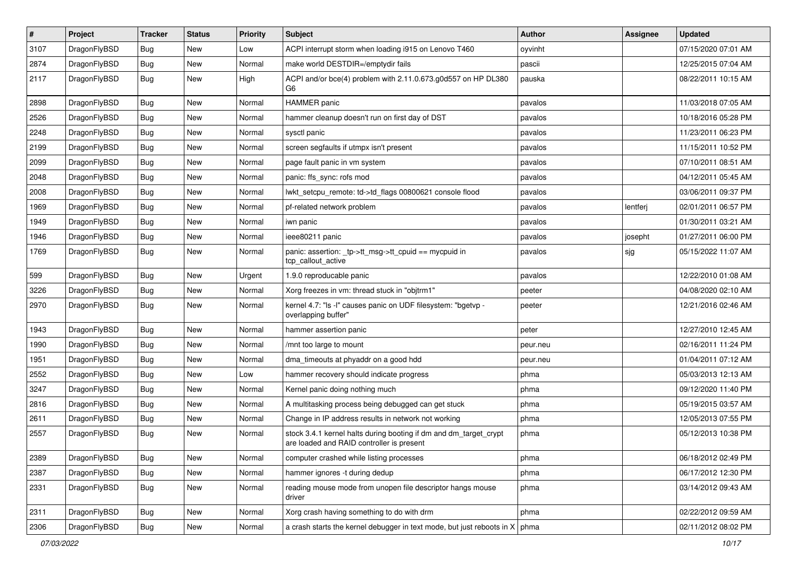| $\sharp$ | Project      | <b>Tracker</b> | <b>Status</b> | <b>Priority</b> | Subject                                                                                                        | Author   | Assignee | <b>Updated</b>      |
|----------|--------------|----------------|---------------|-----------------|----------------------------------------------------------------------------------------------------------------|----------|----------|---------------------|
| 3107     | DragonFlyBSD | <b>Bug</b>     | <b>New</b>    | Low             | ACPI interrupt storm when loading i915 on Lenovo T460                                                          | oyvinht  |          | 07/15/2020 07:01 AM |
| 2874     | DragonFlyBSD | Bug            | <b>New</b>    | Normal          | make world DESTDIR=/emptydir fails                                                                             | pascii   |          | 12/25/2015 07:04 AM |
| 2117     | DragonFlyBSD | <b>Bug</b>     | <b>New</b>    | High            | ACPI and/or bce(4) problem with 2.11.0.673.g0d557 on HP DL380<br>G6                                            | pauska   |          | 08/22/2011 10:15 AM |
| 2898     | DragonFlyBSD | Bug            | <b>New</b>    | Normal          | <b>HAMMER</b> panic                                                                                            | pavalos  |          | 11/03/2018 07:05 AM |
| 2526     | DragonFlyBSD | <b>Bug</b>     | <b>New</b>    | Normal          | hammer cleanup doesn't run on first day of DST                                                                 | pavalos  |          | 10/18/2016 05:28 PM |
| 2248     | DragonFlyBSD | <b>Bug</b>     | <b>New</b>    | Normal          | sysctl panic                                                                                                   | pavalos  |          | 11/23/2011 06:23 PM |
| 2199     | DragonFlyBSD | <b>Bug</b>     | <b>New</b>    | Normal          | screen segfaults if utmpx isn't present                                                                        | pavalos  |          | 11/15/2011 10:52 PM |
| 2099     | DragonFlyBSD | <b>Bug</b>     | New           | Normal          | page fault panic in vm system                                                                                  | pavalos  |          | 07/10/2011 08:51 AM |
| 2048     | DragonFlyBSD | Bug            | <b>New</b>    | Normal          | panic: ffs_sync: rofs mod                                                                                      | pavalos  |          | 04/12/2011 05:45 AM |
| 2008     | DragonFlyBSD | <b>Bug</b>     | New           | Normal          | lwkt_setcpu_remote: td->td_flags 00800621 console flood                                                        | pavalos  |          | 03/06/2011 09:37 PM |
| 1969     | DragonFlyBSD | Bug            | New           | Normal          | pf-related network problem                                                                                     | pavalos  | lentferj | 02/01/2011 06:57 PM |
| 1949     | DragonFlyBSD | <b>Bug</b>     | <b>New</b>    | Normal          | iwn panic                                                                                                      | pavalos  |          | 01/30/2011 03:21 AM |
| 1946     | DragonFlyBSD | <b>Bug</b>     | New           | Normal          | ieee80211 panic                                                                                                | pavalos  | josepht  | 01/27/2011 06:00 PM |
| 1769     | DragonFlyBSD | Bug            | New           | Normal          | panic: assertion: _tp->tt_msg->tt_cpuid == mycpuid in<br>tcp callout active                                    | pavalos  | sjg      | 05/15/2022 11:07 AM |
| 599      | DragonFlyBSD | Bug            | <b>New</b>    | Urgent          | 1.9.0 reproducable panic                                                                                       | pavalos  |          | 12/22/2010 01:08 AM |
| 3226     | DragonFlyBSD | Bug            | <b>New</b>    | Normal          | Xorg freezes in vm: thread stuck in "objtrm1"                                                                  | peeter   |          | 04/08/2020 02:10 AM |
| 2970     | DragonFlyBSD | <b>Bug</b>     | New           | Normal          | kernel 4.7: "Is -I" causes panic on UDF filesystem: "bgetvp -<br>overlapping buffer"                           | peeter   |          | 12/21/2016 02:46 AM |
| 1943     | DragonFlyBSD | Bug            | <b>New</b>    | Normal          | hammer assertion panic                                                                                         | peter    |          | 12/27/2010 12:45 AM |
| 1990     | DragonFlyBSD | <b>Bug</b>     | <b>New</b>    | Normal          | /mnt too large to mount                                                                                        | peur.neu |          | 02/16/2011 11:24 PM |
| 1951     | DragonFlyBSD | Bug            | <b>New</b>    | Normal          | dma timeouts at phyaddr on a good hdd                                                                          | peur.neu |          | 01/04/2011 07:12 AM |
| 2552     | DragonFlyBSD | <b>Bug</b>     | New           | Low             | hammer recovery should indicate progress                                                                       | phma     |          | 05/03/2013 12:13 AM |
| 3247     | DragonFlyBSD | <b>Bug</b>     | New           | Normal          | Kernel panic doing nothing much                                                                                | phma     |          | 09/12/2020 11:40 PM |
| 2816     | DragonFlyBSD | <b>Bug</b>     | <b>New</b>    | Normal          | A multitasking process being debugged can get stuck                                                            | phma     |          | 05/19/2015 03:57 AM |
| 2611     | DragonFlyBSD | <b>Bug</b>     | New           | Normal          | Change in IP address results in network not working                                                            | phma     |          | 12/05/2013 07:55 PM |
| 2557     | DragonFlyBSD | <b>Bug</b>     | <b>New</b>    | Normal          | stock 3.4.1 kernel halts during booting if dm and dm_target_crypt<br>are loaded and RAID controller is present | phma     |          | 05/12/2013 10:38 PM |
| 2389     | DragonFlyBSD | <b>Bug</b>     | New           | Normal          | computer crashed while listing processes                                                                       | phma     |          | 06/18/2012 02:49 PM |
| 2387     | DragonFlyBSD | <b>Bug</b>     | New           | Normal          | hammer ignores -t during dedup                                                                                 | phma     |          | 06/17/2012 12:30 PM |
| 2331     | DragonFlyBSD | <b>Bug</b>     | New           | Normal          | reading mouse mode from unopen file descriptor hangs mouse<br>driver                                           | phma     |          | 03/14/2012 09:43 AM |
| 2311     | DragonFlyBSD | <b>Bug</b>     | New           | Normal          | Xorg crash having something to do with drm                                                                     | phma     |          | 02/22/2012 09:59 AM |
| 2306     | DragonFlyBSD | <b>Bug</b>     | New           | Normal          | a crash starts the kernel debugger in text mode, but just reboots in $X \mid p$ hma                            |          |          | 02/11/2012 08:02 PM |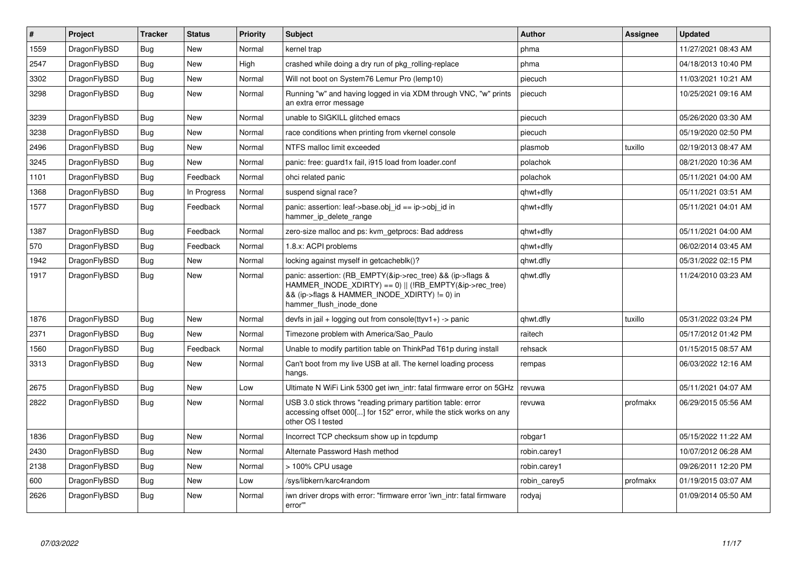| $\vert$ # | Project      | <b>Tracker</b> | <b>Status</b> | <b>Priority</b> | <b>Subject</b>                                                                                                                                                                                    | <b>Author</b> | Assignee | <b>Updated</b>      |
|-----------|--------------|----------------|---------------|-----------------|---------------------------------------------------------------------------------------------------------------------------------------------------------------------------------------------------|---------------|----------|---------------------|
| 1559      | DragonFlyBSD | Bug            | <b>New</b>    | Normal          | kernel trap                                                                                                                                                                                       | phma          |          | 11/27/2021 08:43 AM |
| 2547      | DragonFlyBSD | <b>Bug</b>     | <b>New</b>    | High            | crashed while doing a dry run of pkg rolling-replace                                                                                                                                              | phma          |          | 04/18/2013 10:40 PM |
| 3302      | DragonFlyBSD | Bug            | <b>New</b>    | Normal          | Will not boot on System76 Lemur Pro (lemp10)                                                                                                                                                      | piecuch       |          | 11/03/2021 10:21 AM |
| 3298      | DragonFlyBSD | <b>Bug</b>     | <b>New</b>    | Normal          | Running "w" and having logged in via XDM through VNC, "w" prints<br>an extra error message                                                                                                        | piecuch       |          | 10/25/2021 09:16 AM |
| 3239      | DragonFlyBSD | <b>Bug</b>     | <b>New</b>    | Normal          | unable to SIGKILL glitched emacs                                                                                                                                                                  | piecuch       |          | 05/26/2020 03:30 AM |
| 3238      | DragonFlyBSD | <b>Bug</b>     | <b>New</b>    | Normal          | race conditions when printing from vkernel console                                                                                                                                                | piecuch       |          | 05/19/2020 02:50 PM |
| 2496      | DragonFlyBSD | Bug            | <b>New</b>    | Normal          | NTFS malloc limit exceeded                                                                                                                                                                        | plasmob       | tuxillo  | 02/19/2013 08:47 AM |
| 3245      | DragonFlyBSD | <b>Bug</b>     | <b>New</b>    | Normal          | panic: free: guard1x fail, i915 load from loader.conf                                                                                                                                             | polachok      |          | 08/21/2020 10:36 AM |
| 1101      | DragonFlyBSD | Bug            | Feedback      | Normal          | ohci related panic                                                                                                                                                                                | polachok      |          | 05/11/2021 04:00 AM |
| 1368      | DragonFlyBSD | <b>Bug</b>     | In Progress   | Normal          | suspend signal race?                                                                                                                                                                              | qhwt+dfly     |          | 05/11/2021 03:51 AM |
| 1577      | DragonFlyBSD | <b>Bug</b>     | Feedback      | Normal          | panic: assertion: leaf->base.obj id == ip->obj id in<br>hammer ip delete range                                                                                                                    | qhwt+dfly     |          | 05/11/2021 04:01 AM |
| 1387      | DragonFlyBSD | <b>Bug</b>     | Feedback      | Normal          | zero-size malloc and ps: kvm_getprocs: Bad address                                                                                                                                                | qhwt+dfly     |          | 05/11/2021 04:00 AM |
| 570       | DragonFlyBSD | Bug            | Feedback      | Normal          | 1.8.x: ACPI problems                                                                                                                                                                              | qhwt+dfly     |          | 06/02/2014 03:45 AM |
| 1942      | DragonFlyBSD | <b>Bug</b>     | <b>New</b>    | Normal          | locking against myself in getcacheblk()?                                                                                                                                                          | qhwt.dfly     |          | 05/31/2022 02:15 PM |
| 1917      | DragonFlyBSD | Bug            | New           | Normal          | panic: assertion: (RB EMPTY(&ip->rec tree) && (ip->flags &<br>HAMMER INODE XDIRTY) == 0)    (!RB EMPTY(&ip->rec tree)<br>&& (ip->flags & HAMMER_INODE_XDIRTY) != 0) in<br>hammer flush inode done | qhwt.dfly     |          | 11/24/2010 03:23 AM |
| 1876      | DragonFlyBSD | Bug            | <b>New</b>    | Normal          | devfs in jail + logging out from console(ttyv1+) -> panic                                                                                                                                         | ghwt.dfly     | tuxillo  | 05/31/2022 03:24 PM |
| 2371      | DragonFlyBSD | Bug            | <b>New</b>    | Normal          | Timezone problem with America/Sao_Paulo                                                                                                                                                           | raitech       |          | 05/17/2012 01:42 PM |
| 1560      | DragonFlyBSD | Bug            | Feedback      | Normal          | Unable to modify partition table on ThinkPad T61p during install                                                                                                                                  | rehsack       |          | 01/15/2015 08:57 AM |
| 3313      | DragonFlyBSD | <b>Bug</b>     | New           | Normal          | Can't boot from my live USB at all. The kernel loading process<br>hangs.                                                                                                                          | rempas        |          | 06/03/2022 12:16 AM |
| 2675      | DragonFlyBSD | <b>Bug</b>     | <b>New</b>    | Low             | Ultimate N WiFi Link 5300 get iwn_intr: fatal firmware error on 5GHz                                                                                                                              | revuwa        |          | 05/11/2021 04:07 AM |
| 2822      | DragonFlyBSD | Bug            | New           | Normal          | USB 3.0 stick throws "reading primary partition table: error<br>accessing offset 000[] for 152" error, while the stick works on any<br>other OS I tested                                          | revuwa        | profmakx | 06/29/2015 05:56 AM |
| 1836      | DragonFlyBSD | Bug            | <b>New</b>    | Normal          | Incorrect TCP checksum show up in tcpdump                                                                                                                                                         | robgar1       |          | 05/15/2022 11:22 AM |
| 2430      | DragonFlyBSD | <b>Bug</b>     | <b>New</b>    | Normal          | Alternate Password Hash method                                                                                                                                                                    | robin.carey1  |          | 10/07/2012 06:28 AM |
| 2138      | DragonFlyBSD | Bug            | <b>New</b>    | Normal          | > 100% CPU usage                                                                                                                                                                                  | robin.carey1  |          | 09/26/2011 12:20 PM |
| 600       | DragonFlyBSD | Bug            | <b>New</b>    | Low             | /sys/libkern/karc4random                                                                                                                                                                          | robin_carey5  | profmakx | 01/19/2015 03:07 AM |
| 2626      | DragonFlyBSD | <b>Bug</b>     | <b>New</b>    | Normal          | iwn driver drops with error: "firmware error 'iwn intr: fatal firmware<br>error""                                                                                                                 | rodyaj        |          | 01/09/2014 05:50 AM |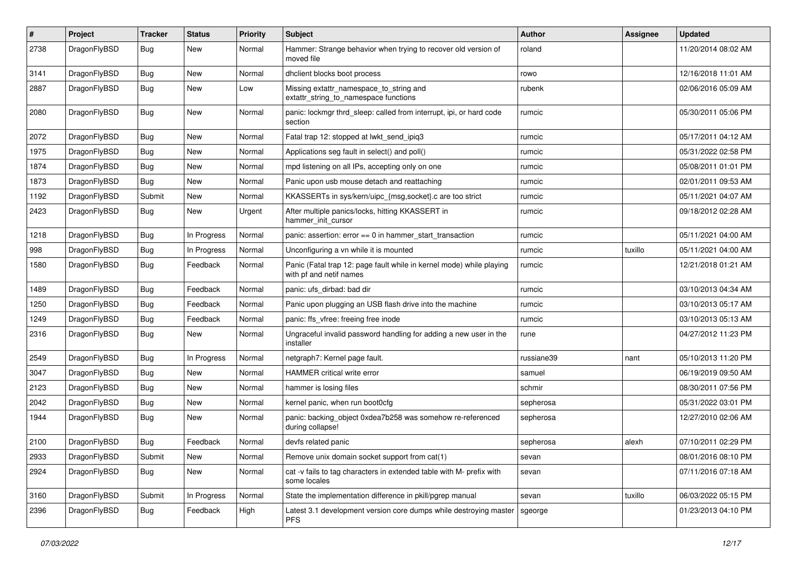| $\pmb{\#}$ | Project      | <b>Tracker</b> | <b>Status</b> | <b>Priority</b> | <b>Subject</b>                                                                                  | <b>Author</b> | <b>Assignee</b> | <b>Updated</b>      |
|------------|--------------|----------------|---------------|-----------------|-------------------------------------------------------------------------------------------------|---------------|-----------------|---------------------|
| 2738       | DragonFlyBSD | Bug            | New           | Normal          | Hammer: Strange behavior when trying to recover old version of<br>moved file                    | roland        |                 | 11/20/2014 08:02 AM |
| 3141       | DragonFlyBSD | <b>Bug</b>     | <b>New</b>    | Normal          | dhclient blocks boot process                                                                    | rowo          |                 | 12/16/2018 11:01 AM |
| 2887       | DragonFlyBSD | Bug            | <b>New</b>    | Low             | Missing extattr_namespace_to_string and<br>extattr_string_to_namespace functions                | rubenk        |                 | 02/06/2016 05:09 AM |
| 2080       | DragonFlyBSD | Bug            | New           | Normal          | panic: lockmgr thrd_sleep: called from interrupt, ipi, or hard code<br>section                  | rumcic        |                 | 05/30/2011 05:06 PM |
| 2072       | DragonFlyBSD | <b>Bug</b>     | <b>New</b>    | Normal          | Fatal trap 12: stopped at lwkt_send_ipiq3                                                       | rumcic        |                 | 05/17/2011 04:12 AM |
| 1975       | DragonFlyBSD | Bug            | New           | Normal          | Applications seg fault in select() and poll()                                                   | rumcic        |                 | 05/31/2022 02:58 PM |
| 1874       | DragonFlyBSD | Bug            | <b>New</b>    | Normal          | mpd listening on all IPs, accepting only on one                                                 | rumcic        |                 | 05/08/2011 01:01 PM |
| 1873       | DragonFlyBSD | <b>Bug</b>     | New           | Normal          | Panic upon usb mouse detach and reattaching                                                     | rumcic        |                 | 02/01/2011 09:53 AM |
| 1192       | DragonFlyBSD | Submit         | <b>New</b>    | Normal          | KKASSERTs in sys/kern/uipc_{msg,socket}.c are too strict                                        | rumcic        |                 | 05/11/2021 04:07 AM |
| 2423       | DragonFlyBSD | Bug            | New           | Urgent          | After multiple panics/locks, hitting KKASSERT in<br>hammer init cursor                          | rumcic        |                 | 09/18/2012 02:28 AM |
| 1218       | DragonFlyBSD | Bug            | In Progress   | Normal          | panic: assertion: error == 0 in hammer_start_transaction                                        | rumcic        |                 | 05/11/2021 04:00 AM |
| 998        | DragonFlyBSD | Bug            | In Progress   | Normal          | Unconfiguring a vn while it is mounted                                                          | rumcic        | tuxillo         | 05/11/2021 04:00 AM |
| 1580       | DragonFlyBSD | Bug            | Feedback      | Normal          | Panic (Fatal trap 12: page fault while in kernel mode) while playing<br>with pf and netif names | rumcic        |                 | 12/21/2018 01:21 AM |
| 1489       | DragonFlyBSD | <b>Bug</b>     | Feedback      | Normal          | panic: ufs dirbad: bad dir                                                                      | rumcic        |                 | 03/10/2013 04:34 AM |
| 1250       | DragonFlyBSD | Bug            | Feedback      | Normal          | Panic upon plugging an USB flash drive into the machine                                         | rumcic        |                 | 03/10/2013 05:17 AM |
| 1249       | DragonFlyBSD | <b>Bug</b>     | Feedback      | Normal          | panic: ffs_vfree: freeing free inode                                                            | rumcic        |                 | 03/10/2013 05:13 AM |
| 2316       | DragonFlyBSD | Bug            | New           | Normal          | Ungraceful invalid password handling for adding a new user in the<br>installer                  | rune          |                 | 04/27/2012 11:23 PM |
| 2549       | DragonFlyBSD | Bug            | In Progress   | Normal          | netgraph7: Kernel page fault.                                                                   | russiane39    | nant            | 05/10/2013 11:20 PM |
| 3047       | DragonFlyBSD | Bug            | <b>New</b>    | Normal          | <b>HAMMER</b> critical write error                                                              | samuel        |                 | 06/19/2019 09:50 AM |
| 2123       | DragonFlyBSD | Bug            | <b>New</b>    | Normal          | hammer is losing files                                                                          | schmir        |                 | 08/30/2011 07:56 PM |
| 2042       | DragonFlyBSD | <b>Bug</b>     | New           | Normal          | kernel panic, when run boot0cfg                                                                 | sepherosa     |                 | 05/31/2022 03:01 PM |
| 1944       | DragonFlyBSD | Bug            | New           | Normal          | panic: backing_object 0xdea7b258 was somehow re-referenced<br>during collapse!                  | sepherosa     |                 | 12/27/2010 02:06 AM |
| 2100       | DragonFlyBSD | Bug            | Feedback      | Normal          | devfs related panic                                                                             | sepherosa     | alexh           | 07/10/2011 02:29 PM |
| 2933       | DragonFlyBSD | Submit         | New           | Normal          | Remove unix domain socket support from cat(1)                                                   | sevan         |                 | 08/01/2016 08:10 PM |
| 2924       | DragonFlyBSD | Bug            | New           | Normal          | cat -v fails to tag characters in extended table with M- prefix with<br>some locales            | sevan         |                 | 07/11/2016 07:18 AM |
| 3160       | DragonFlyBSD | Submit         | In Progress   | Normal          | State the implementation difference in pkill/pgrep manual                                       | sevan         | tuxillo         | 06/03/2022 05:15 PM |
| 2396       | DragonFlyBSD | <b>Bug</b>     | Feedback      | High            | Latest 3.1 development version core dumps while destroying master<br><b>PFS</b>                 | sgeorge       |                 | 01/23/2013 04:10 PM |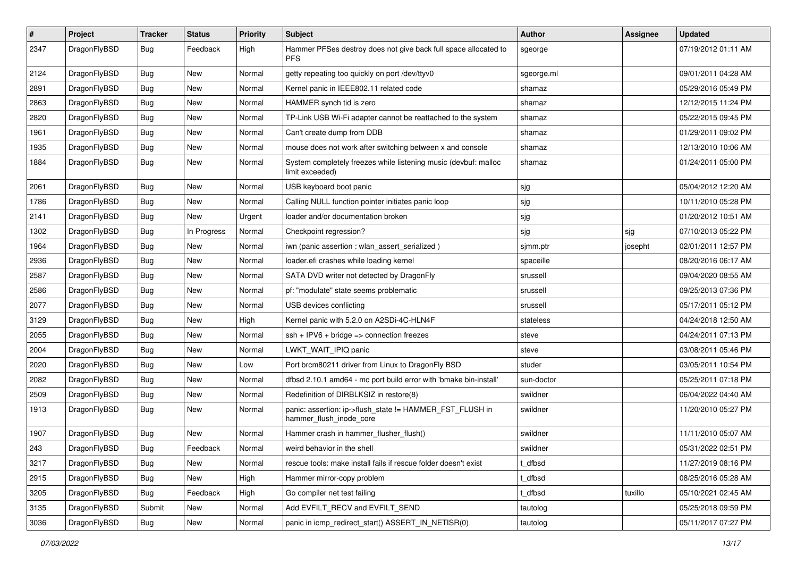| $\#$ | Project      | <b>Tracker</b> | <b>Status</b> | <b>Priority</b> | Subject                                                                             | <b>Author</b> | <b>Assignee</b> | <b>Updated</b>      |
|------|--------------|----------------|---------------|-----------------|-------------------------------------------------------------------------------------|---------------|-----------------|---------------------|
| 2347 | DragonFlyBSD | Bug            | Feedback      | High            | Hammer PFSes destroy does not give back full space allocated to<br>PFS              | sgeorge       |                 | 07/19/2012 01:11 AM |
| 2124 | DragonFlyBSD | Bug            | <b>New</b>    | Normal          | getty repeating too quickly on port /dev/ttyv0                                      | sgeorge.ml    |                 | 09/01/2011 04:28 AM |
| 2891 | DragonFlyBSD | <b>Bug</b>     | New           | Normal          | Kernel panic in IEEE802.11 related code                                             | shamaz        |                 | 05/29/2016 05:49 PM |
| 2863 | DragonFlyBSD | Bug            | <b>New</b>    | Normal          | HAMMER synch tid is zero                                                            | shamaz        |                 | 12/12/2015 11:24 PM |
| 2820 | DragonFlyBSD | <b>Bug</b>     | <b>New</b>    | Normal          | TP-Link USB Wi-Fi adapter cannot be reattached to the system                        | shamaz        |                 | 05/22/2015 09:45 PM |
| 1961 | DragonFlyBSD | <b>Bug</b>     | <b>New</b>    | Normal          | Can't create dump from DDB                                                          | shamaz        |                 | 01/29/2011 09:02 PM |
| 1935 | DragonFlyBSD | <b>Bug</b>     | <b>New</b>    | Normal          | mouse does not work after switching between x and console                           | shamaz        |                 | 12/13/2010 10:06 AM |
| 1884 | DragonFlyBSD | <b>Bug</b>     | <b>New</b>    | Normal          | System completely freezes while listening music (devbuf: malloc<br>limit exceeded)  | shamaz        |                 | 01/24/2011 05:00 PM |
| 2061 | DragonFlyBSD | <b>Bug</b>     | <b>New</b>    | Normal          | USB keyboard boot panic                                                             | sjg           |                 | 05/04/2012 12:20 AM |
| 1786 | DragonFlyBSD | <b>Bug</b>     | New           | Normal          | Calling NULL function pointer initiates panic loop                                  | sjg           |                 | 10/11/2010 05:28 PM |
| 2141 | DragonFlyBSD | Bug            | <b>New</b>    | Urgent          | loader and/or documentation broken                                                  | sjg           |                 | 01/20/2012 10:51 AM |
| 1302 | DragonFlyBSD | <b>Bug</b>     | In Progress   | Normal          | Checkpoint regression?                                                              | sjg           | sjg             | 07/10/2013 05:22 PM |
| 1964 | DragonFlyBSD | <b>Bug</b>     | <b>New</b>    | Normal          | iwn (panic assertion : wlan_assert_serialized)                                      | sjmm.ptr      | josepht         | 02/01/2011 12:57 PM |
| 2936 | DragonFlyBSD | <b>Bug</b>     | New           | Normal          | loader.efi crashes while loading kernel                                             | spaceille     |                 | 08/20/2016 06:17 AM |
| 2587 | DragonFlyBSD | <b>Bug</b>     | <b>New</b>    | Normal          | SATA DVD writer not detected by DragonFly                                           | srussell      |                 | 09/04/2020 08:55 AM |
| 2586 | DragonFlyBSD | Bug            | <b>New</b>    | Normal          | pf: "modulate" state seems problematic                                              | srussell      |                 | 09/25/2013 07:36 PM |
| 2077 | DragonFlyBSD | <b>Bug</b>     | New           | Normal          | USB devices conflicting                                                             | srussell      |                 | 05/17/2011 05:12 PM |
| 3129 | DragonFlyBSD | <b>Bug</b>     | New           | High            | Kernel panic with 5.2.0 on A2SDi-4C-HLN4F                                           | stateless     |                 | 04/24/2018 12:50 AM |
| 2055 | DragonFlyBSD | <b>Bug</b>     | <b>New</b>    | Normal          | $ssh + IPV6 + bridge \Rightarrow$ connection freezes                                | steve         |                 | 04/24/2011 07:13 PM |
| 2004 | DragonFlyBSD | <b>Bug</b>     | <b>New</b>    | Normal          | LWKT_WAIT_IPIQ panic                                                                | steve         |                 | 03/08/2011 05:46 PM |
| 2020 | DragonFlyBSD | <b>Bug</b>     | <b>New</b>    | Low             | Port brcm80211 driver from Linux to DragonFly BSD                                   | studer        |                 | 03/05/2011 10:54 PM |
| 2082 | DragonFlyBSD | <b>Bug</b>     | New           | Normal          | dfbsd 2.10.1 amd64 - mc port build error with 'bmake bin-install'                   | sun-doctor    |                 | 05/25/2011 07:18 PM |
| 2509 | DragonFlyBSD | Bug            | New           | Normal          | Redefinition of DIRBLKSIZ in restore(8)                                             | swildner      |                 | 06/04/2022 04:40 AM |
| 1913 | DragonFlyBSD | Bug            | <b>New</b>    | Normal          | panic: assertion: ip->flush_state != HAMMER_FST_FLUSH in<br>hammer_flush_inode_core | swildner      |                 | 11/20/2010 05:27 PM |
| 1907 | DragonFlyBSD | Bug            | <b>New</b>    | Normal          | Hammer crash in hammer_flusher_flush()                                              | swildner      |                 | 11/11/2010 05:07 AM |
| 243  | DragonFlyBSD | Bug            | Feedback      | Normal          | weird behavior in the shell                                                         | swildner      |                 | 05/31/2022 02:51 PM |
| 3217 | DragonFlyBSD | Bug            | New           | Normal          | rescue tools: make install fails if rescue folder doesn't exist                     | t dfbsd       |                 | 11/27/2019 08:16 PM |
| 2915 | DragonFlyBSD | Bug            | New           | High            | Hammer mirror-copy problem                                                          | t_dfbsd       |                 | 08/25/2016 05:28 AM |
| 3205 | DragonFlyBSD | <b>Bug</b>     | Feedback      | High            | Go compiler net test failing                                                        | t dfbsd       | tuxillo         | 05/10/2021 02:45 AM |
| 3135 | DragonFlyBSD | Submit         | New           | Normal          | Add EVFILT_RECV and EVFILT_SEND                                                     | tautolog      |                 | 05/25/2018 09:59 PM |
| 3036 | DragonFlyBSD | <b>Bug</b>     | New           | Normal          | panic in icmp_redirect_start() ASSERT_IN_NETISR(0)                                  | tautolog      |                 | 05/11/2017 07:27 PM |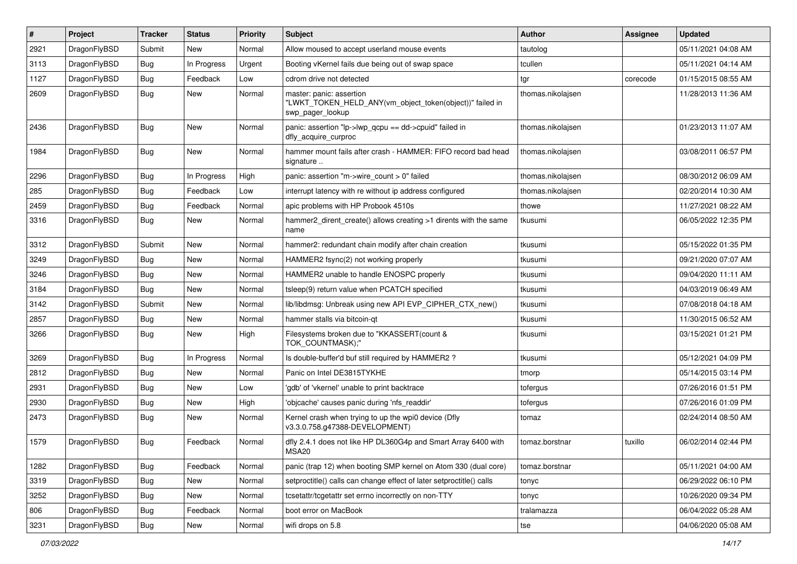| #    | Project      | <b>Tracker</b> | <b>Status</b> | <b>Priority</b> | <b>Subject</b>                                                                                           | Author            | <b>Assignee</b> | <b>Updated</b>      |
|------|--------------|----------------|---------------|-----------------|----------------------------------------------------------------------------------------------------------|-------------------|-----------------|---------------------|
| 2921 | DragonFlyBSD | Submit         | <b>New</b>    | Normal          | Allow moused to accept userland mouse events                                                             | tautolog          |                 | 05/11/2021 04:08 AM |
| 3113 | DragonFlyBSD | Bug            | In Progress   | Urgent          | Booting vKernel fails due being out of swap space                                                        | tcullen           |                 | 05/11/2021 04:14 AM |
| 1127 | DragonFlyBSD | <b>Bug</b>     | Feedback      | Low             | cdrom drive not detected                                                                                 | tgr               | corecode        | 01/15/2015 08:55 AM |
| 2609 | DragonFlyBSD | Bug            | New           | Normal          | master: panic: assertion<br>"LWKT_TOKEN_HELD_ANY(vm_object_token(object))" failed in<br>swp pager lookup | thomas.nikolajsen |                 | 11/28/2013 11:36 AM |
| 2436 | DragonFlyBSD | Bug            | <b>New</b>    | Normal          | panic: assertion "lp->lwp qcpu == dd->cpuid" failed in<br>dfly_acquire_curproc                           | thomas.nikolajsen |                 | 01/23/2013 11:07 AM |
| 1984 | DragonFlyBSD | Bug            | <b>New</b>    | Normal          | hammer mount fails after crash - HAMMER: FIFO record bad head<br>signature                               | thomas.nikolajsen |                 | 03/08/2011 06:57 PM |
| 2296 | DragonFlyBSD | <b>Bug</b>     | In Progress   | High            | panic: assertion "m->wire count > 0" failed                                                              | thomas.nikolajsen |                 | 08/30/2012 06:09 AM |
| 285  | DragonFlyBSD | <b>Bug</b>     | Feedback      | Low             | interrupt latency with re without ip address configured                                                  | thomas.nikolajsen |                 | 02/20/2014 10:30 AM |
| 2459 | DragonFlyBSD | Bug            | Feedback      | Normal          | apic problems with HP Probook 4510s                                                                      | thowe             |                 | 11/27/2021 08:22 AM |
| 3316 | DragonFlyBSD | Bug            | <b>New</b>    | Normal          | hammer2 dirent create() allows creating >1 dirents with the same<br>name                                 | tkusumi           |                 | 06/05/2022 12:35 PM |
| 3312 | DragonFlyBSD | Submit         | <b>New</b>    | Normal          | hammer2: redundant chain modify after chain creation                                                     | tkusumi           |                 | 05/15/2022 01:35 PM |
| 3249 | DragonFlyBSD | <b>Bug</b>     | <b>New</b>    | Normal          | HAMMER2 fsync(2) not working properly                                                                    | tkusumi           |                 | 09/21/2020 07:07 AM |
| 3246 | DragonFlyBSD | Bug            | <b>New</b>    | Normal          | HAMMER2 unable to handle ENOSPC properly                                                                 | tkusumi           |                 | 09/04/2020 11:11 AM |
| 3184 | DragonFlyBSD | Bug            | <b>New</b>    | Normal          | tsleep(9) return value when PCATCH specified                                                             | tkusumi           |                 | 04/03/2019 06:49 AM |
| 3142 | DragonFlyBSD | Submit         | New           | Normal          | lib/libdmsg: Unbreak using new API EVP_CIPHER_CTX_new()                                                  | tkusumi           |                 | 07/08/2018 04:18 AM |
| 2857 | DragonFlyBSD | <b>Bug</b>     | <b>New</b>    | Normal          | hammer stalls via bitcoin-qt                                                                             | tkusumi           |                 | 11/30/2015 06:52 AM |
| 3266 | DragonFlyBSD | <b>Bug</b>     | New           | High            | Filesystems broken due to "KKASSERT(count &<br>TOK_COUNTMASK);"                                          | tkusumi           |                 | 03/15/2021 01:21 PM |
| 3269 | DragonFlyBSD | <b>Bug</b>     | In Progress   | Normal          | Is double-buffer'd buf still required by HAMMER2?                                                        | tkusumi           |                 | 05/12/2021 04:09 PM |
| 2812 | DragonFlyBSD | <b>Bug</b>     | <b>New</b>    | Normal          | Panic on Intel DE3815TYKHE                                                                               | tmorp             |                 | 05/14/2015 03:14 PM |
| 2931 | DragonFlyBSD | <b>Bug</b>     | <b>New</b>    | Low             | 'gdb' of 'vkernel' unable to print backtrace                                                             | tofergus          |                 | 07/26/2016 01:51 PM |
| 2930 | DragonFlyBSD | <b>Bug</b>     | <b>New</b>    | High            | 'objcache' causes panic during 'nfs_readdir'                                                             | tofergus          |                 | 07/26/2016 01:09 PM |
| 2473 | DragonFlyBSD | Bug            | New           | Normal          | Kernel crash when trying to up the wpi0 device (Dfly<br>v3.3.0.758.g47388-DEVELOPMENT)                   | tomaz             |                 | 02/24/2014 08:50 AM |
| 1579 | DragonFlyBSD | <b>Bug</b>     | Feedback      | Normal          | dfly 2.4.1 does not like HP DL360G4p and Smart Array 6400 with<br>MSA20                                  | tomaz.borstnar    | tuxillo         | 06/02/2014 02:44 PM |
| 1282 | DragonFlyBSD | <b>Bug</b>     | Feedback      | Normal          | panic (trap 12) when booting SMP kernel on Atom 330 (dual core)                                          | tomaz.borstnar    |                 | 05/11/2021 04:00 AM |
| 3319 | DragonFlyBSD | <b>Bug</b>     | New           | Normal          | setproctitle() calls can change effect of later setproctitle() calls                                     | tonyc             |                 | 06/29/2022 06:10 PM |
| 3252 | DragonFlyBSD | <b>Bug</b>     | New           | Normal          | tcsetattr/tcgetattr set errno incorrectly on non-TTY                                                     | tonyc             |                 | 10/26/2020 09:34 PM |
| 806  | DragonFlyBSD | <b>Bug</b>     | Feedback      | Normal          | boot error on MacBook                                                                                    | tralamazza        |                 | 06/04/2022 05:28 AM |
| 3231 | DragonFlyBSD | Bug            | New           | Normal          | wifi drops on 5.8                                                                                        | tse               |                 | 04/06/2020 05:08 AM |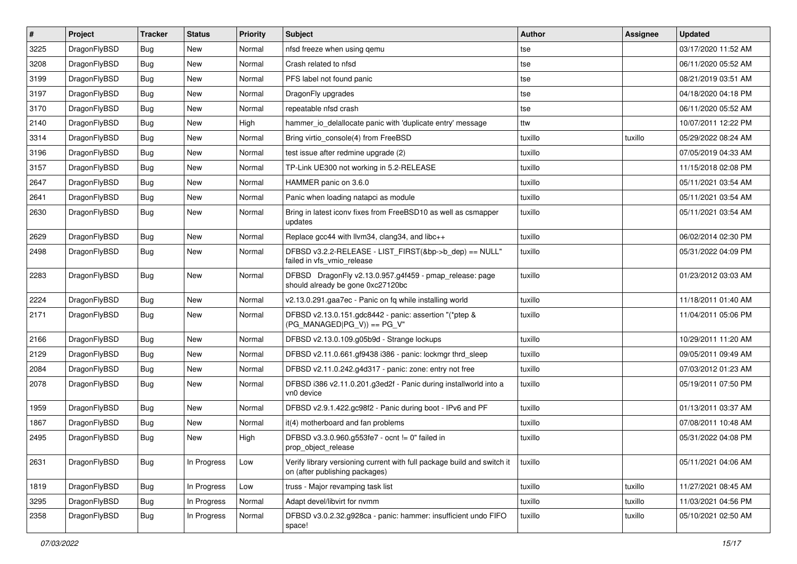| $\vert$ # | Project      | <b>Tracker</b> | <b>Status</b> | <b>Priority</b> | Subject                                                                                                   | Author  | Assignee | <b>Updated</b>      |
|-----------|--------------|----------------|---------------|-----------------|-----------------------------------------------------------------------------------------------------------|---------|----------|---------------------|
| 3225      | DragonFlyBSD | <b>Bug</b>     | <b>New</b>    | Normal          | nfsd freeze when using qemu                                                                               | tse     |          | 03/17/2020 11:52 AM |
| 3208      | DragonFlyBSD | Bug            | <b>New</b>    | Normal          | Crash related to nfsd                                                                                     | tse     |          | 06/11/2020 05:52 AM |
| 3199      | DragonFlyBSD | Bug            | New           | Normal          | PFS label not found panic                                                                                 | tse     |          | 08/21/2019 03:51 AM |
| 3197      | DragonFlyBSD | Bug            | New           | Normal          | DragonFly upgrades                                                                                        | tse     |          | 04/18/2020 04:18 PM |
| 3170      | DragonFlyBSD | Bug            | <b>New</b>    | Normal          | repeatable nfsd crash                                                                                     | tse     |          | 06/11/2020 05:52 AM |
| 2140      | DragonFlyBSD | Bug            | <b>New</b>    | High            | hammer io delallocate panic with 'duplicate entry' message                                                | ttw     |          | 10/07/2011 12:22 PM |
| 3314      | DragonFlyBSD | Bug            | <b>New</b>    | Normal          | Bring virtio_console(4) from FreeBSD                                                                      | tuxillo | tuxillo  | 05/29/2022 08:24 AM |
| 3196      | DragonFlyBSD | Bug            | New           | Normal          | test issue after redmine upgrade (2)                                                                      | tuxillo |          | 07/05/2019 04:33 AM |
| 3157      | DragonFlyBSD | Bug            | <b>New</b>    | Normal          | TP-Link UE300 not working in 5.2-RELEASE                                                                  | tuxillo |          | 11/15/2018 02:08 PM |
| 2647      | DragonFlyBSD | Bug            | New           | Normal          | HAMMER panic on 3.6.0                                                                                     | tuxillo |          | 05/11/2021 03:54 AM |
| 2641      | DragonFlyBSD | Bug            | New           | Normal          | Panic when loading natapci as module                                                                      | tuxillo |          | 05/11/2021 03:54 AM |
| 2630      | DragonFlyBSD | Bug            | <b>New</b>    | Normal          | Bring in latest iconv fixes from FreeBSD10 as well as csmapper<br>updates                                 | tuxillo |          | 05/11/2021 03:54 AM |
| 2629      | DragonFlyBSD | Bug            | <b>New</b>    | Normal          | Replace gcc44 with llvm34, clang34, and libc++                                                            | tuxillo |          | 06/02/2014 02:30 PM |
| 2498      | DragonFlyBSD | Bug            | New           | Normal          | DFBSD v3.2.2-RELEASE - LIST_FIRST(&bp->b_dep) == NULL"<br>failed in vfs_vmio_release                      | tuxillo |          | 05/31/2022 04:09 PM |
| 2283      | DragonFlyBSD | Bug            | New           | Normal          | DFBSD DragonFly v2.13.0.957.g4f459 - pmap_release: page<br>should already be gone 0xc27120bc              | tuxillo |          | 01/23/2012 03:03 AM |
| 2224      | DragonFlyBSD | Bug            | <b>New</b>    | Normal          | v2.13.0.291.gaa7ec - Panic on fq while installing world                                                   | tuxillo |          | 11/18/2011 01:40 AM |
| 2171      | DragonFlyBSD | Bug            | New           | Normal          | DFBSD v2.13.0.151.gdc8442 - panic: assertion "(*ptep &<br>$(PG_MANAGED PG_V)) == PG_V"$                   | tuxillo |          | 11/04/2011 05:06 PM |
| 2166      | DragonFlyBSD | Bug            | <b>New</b>    | Normal          | DFBSD v2.13.0.109.g05b9d - Strange lockups                                                                | tuxillo |          | 10/29/2011 11:20 AM |
| 2129      | DragonFlyBSD | Bug            | <b>New</b>    | Normal          | DFBSD v2.11.0.661.gf9438 i386 - panic: lockmgr thrd_sleep                                                 | tuxillo |          | 09/05/2011 09:49 AM |
| 2084      | DragonFlyBSD | Bug            | New           | Normal          | DFBSD v2.11.0.242.g4d317 - panic: zone: entry not free                                                    | tuxillo |          | 07/03/2012 01:23 AM |
| 2078      | DragonFlyBSD | Bug            | New           | Normal          | DFBSD i386 v2.11.0.201.g3ed2f - Panic during installworld into a<br>vn0 device                            | tuxillo |          | 05/19/2011 07:50 PM |
| 1959      | DragonFlyBSD | Bug            | <b>New</b>    | Normal          | DFBSD v2.9.1.422.gc98f2 - Panic during boot - IPv6 and PF                                                 | tuxillo |          | 01/13/2011 03:37 AM |
| 1867      | DragonFlyBSD | Bug            | New           | Normal          | it(4) motherboard and fan problems                                                                        | tuxillo |          | 07/08/2011 10:48 AM |
| 2495      | DragonFlyBSD | Bug            | New           | High            | DFBSD v3.3.0.960.g553fe7 - ocnt != 0" failed in<br>prop_object_release                                    | tuxillo |          | 05/31/2022 04:08 PM |
| 2631      | DragonFlyBSD | Bug            | In Progress   | Low             | Verify library versioning current with full package build and switch it<br>on (after publishing packages) | tuxillo |          | 05/11/2021 04:06 AM |
| 1819      | DragonFlyBSD | <b>Bug</b>     | In Progress   | Low             | truss - Major revamping task list                                                                         | tuxillo | tuxillo  | 11/27/2021 08:45 AM |
| 3295      | DragonFlyBSD | <b>Bug</b>     | In Progress   | Normal          | Adapt devel/libvirt for nvmm                                                                              | tuxillo | tuxillo  | 11/03/2021 04:56 PM |
| 2358      | DragonFlyBSD | <b>Bug</b>     | In Progress   | Normal          | DFBSD v3.0.2.32.g928ca - panic: hammer: insufficient undo FIFO<br>space!                                  | tuxillo | tuxillo  | 05/10/2021 02:50 AM |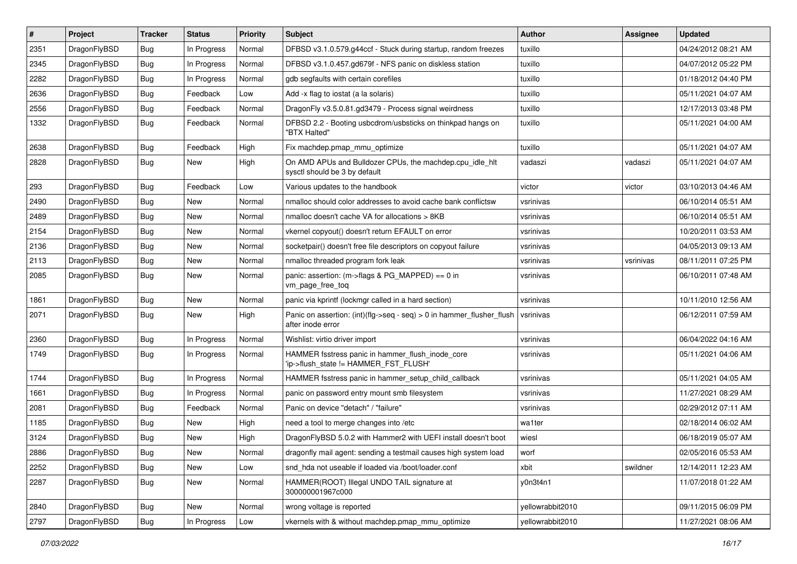| #    | Project      | <b>Tracker</b> | <b>Status</b> | <b>Priority</b> | Subject                                                                                       | Author           | <b>Assignee</b> | <b>Updated</b>      |
|------|--------------|----------------|---------------|-----------------|-----------------------------------------------------------------------------------------------|------------------|-----------------|---------------------|
| 2351 | DragonFlyBSD | <b>Bug</b>     | In Progress   | Normal          | DFBSD v3.1.0.579.g44ccf - Stuck during startup, random freezes                                | tuxillo          |                 | 04/24/2012 08:21 AM |
| 2345 | DragonFlyBSD | <b>Bug</b>     | In Progress   | Normal          | DFBSD v3.1.0.457.gd679f - NFS panic on diskless station                                       | tuxillo          |                 | 04/07/2012 05:22 PM |
| 2282 | DragonFlyBSD | <b>Bug</b>     | In Progress   | Normal          | gdb segfaults with certain corefiles                                                          | tuxillo          |                 | 01/18/2012 04:40 PM |
| 2636 | DragonFlyBSD | <b>Bug</b>     | Feedback      | Low             | Add -x flag to iostat (a la solaris)                                                          | tuxillo          |                 | 05/11/2021 04:07 AM |
| 2556 | DragonFlyBSD | <b>Bug</b>     | Feedback      | Normal          | DragonFly v3.5.0.81.gd3479 - Process signal weirdness                                         | tuxillo          |                 | 12/17/2013 03:48 PM |
| 1332 | DragonFlyBSD | <b>Bug</b>     | Feedback      | Normal          | DFBSD 2.2 - Booting usbcdrom/usbsticks on thinkpad hangs on<br>"BTX Halted"                   | tuxillo          |                 | 05/11/2021 04:00 AM |
| 2638 | DragonFlyBSD | <b>Bug</b>     | Feedback      | High            | Fix machdep.pmap mmu optimize                                                                 | tuxillo          |                 | 05/11/2021 04:07 AM |
| 2828 | DragonFlyBSD | <b>Bug</b>     | New           | High            | On AMD APUs and Bulldozer CPUs, the machdep.cpu_idle_hlt<br>sysctl should be 3 by default     | vadaszi          | vadaszi         | 05/11/2021 04:07 AM |
| 293  | DragonFlyBSD | <b>Bug</b>     | Feedback      | Low             | Various updates to the handbook                                                               | victor           | victor          | 03/10/2013 04:46 AM |
| 2490 | DragonFlyBSD | <b>Bug</b>     | New           | Normal          | nmalloc should color addresses to avoid cache bank conflictsw                                 | vsrinivas        |                 | 06/10/2014 05:51 AM |
| 2489 | DragonFlyBSD | <b>Bug</b>     | New           | Normal          | nmalloc doesn't cache VA for allocations > 8KB                                                | vsrinivas        |                 | 06/10/2014 05:51 AM |
| 2154 | DragonFlyBSD | <b>Bug</b>     | New           | Normal          | vkernel copyout() doesn't return EFAULT on error                                              | vsrinivas        |                 | 10/20/2011 03:53 AM |
| 2136 | DragonFlyBSD | <b>Bug</b>     | New           | Normal          | socketpair() doesn't free file descriptors on copyout failure                                 | vsrinivas        |                 | 04/05/2013 09:13 AM |
| 2113 | DragonFlyBSD | <b>Bug</b>     | New           | Normal          | nmalloc threaded program fork leak                                                            | vsrinivas        | vsrinivas       | 08/11/2011 07:25 PM |
| 2085 | DragonFlyBSD | <b>Bug</b>     | New           | Normal          | panic: assertion: (m->flags & PG_MAPPED) == 0 in<br>vm_page_free_toq                          | vsrinivas        |                 | 06/10/2011 07:48 AM |
| 1861 | DragonFlyBSD | <b>Bug</b>     | New           | Normal          | panic via kprintf (lockmgr called in a hard section)                                          | vsrinivas        |                 | 10/11/2010 12:56 AM |
| 2071 | DragonFlyBSD | <b>Bug</b>     | New           | High            | Panic on assertion: $(int)(flag->seq - seq) > 0$ in hammer flusher flush<br>after inode error | vsrinivas        |                 | 06/12/2011 07:59 AM |
| 2360 | DragonFlyBSD | Bug            | In Progress   | Normal          | Wishlist: virtio driver import                                                                | vsrinivas        |                 | 06/04/2022 04:16 AM |
| 1749 | DragonFlyBSD | <b>Bug</b>     | In Progress   | Normal          | HAMMER fsstress panic in hammer_flush_inode_core<br>'ip->flush_state != HAMMER_FST_FLUSH'     | vsrinivas        |                 | 05/11/2021 04:06 AM |
| 1744 | DragonFlyBSD | <b>Bug</b>     | In Progress   | Normal          | HAMMER fsstress panic in hammer_setup_child_callback                                          | vsrinivas        |                 | 05/11/2021 04:05 AM |
| 1661 | DragonFlyBSD | <b>Bug</b>     | In Progress   | Normal          | panic on password entry mount smb filesystem                                                  | vsrinivas        |                 | 11/27/2021 08:29 AM |
| 2081 | DragonFlyBSD | Bug            | Feedback      | Normal          | Panic on device "detach" / "failure"                                                          | vsrinivas        |                 | 02/29/2012 07:11 AM |
| 1185 | DragonFlyBSD | <b>Bug</b>     | New           | High            | need a tool to merge changes into /etc                                                        | wa1ter           |                 | 02/18/2014 06:02 AM |
| 3124 | DragonFlyBSD | <b>Bug</b>     | New           | High            | DragonFlyBSD 5.0.2 with Hammer2 with UEFI install doesn't boot                                | wiesl            |                 | 06/18/2019 05:07 AM |
| 2886 | DragonFlyBSD | <b>Bug</b>     | <b>New</b>    | Normal          | dragonfly mail agent: sending a testmail causes high system load                              | worf             |                 | 02/05/2016 05:53 AM |
| 2252 | DragonFlyBSD | <b>Bug</b>     | New           | Low             | snd hda not useable if loaded via /boot/loader.conf                                           | xbit             | swildner        | 12/14/2011 12:23 AM |
| 2287 | DragonFlyBSD | <b>Bug</b>     | New           | Normal          | HAMMER(ROOT) Illegal UNDO TAIL signature at<br>300000001967c000                               | y0n3t4n1         |                 | 11/07/2018 01:22 AM |
| 2840 | DragonFlyBSD | <b>Bug</b>     | New           | Normal          | wrong voltage is reported                                                                     | yellowrabbit2010 |                 | 09/11/2015 06:09 PM |
| 2797 | DragonFlyBSD | <b>Bug</b>     | In Progress   | Low             | vkernels with & without machdep.pmap_mmu_optimize                                             | yellowrabbit2010 |                 | 11/27/2021 08:06 AM |